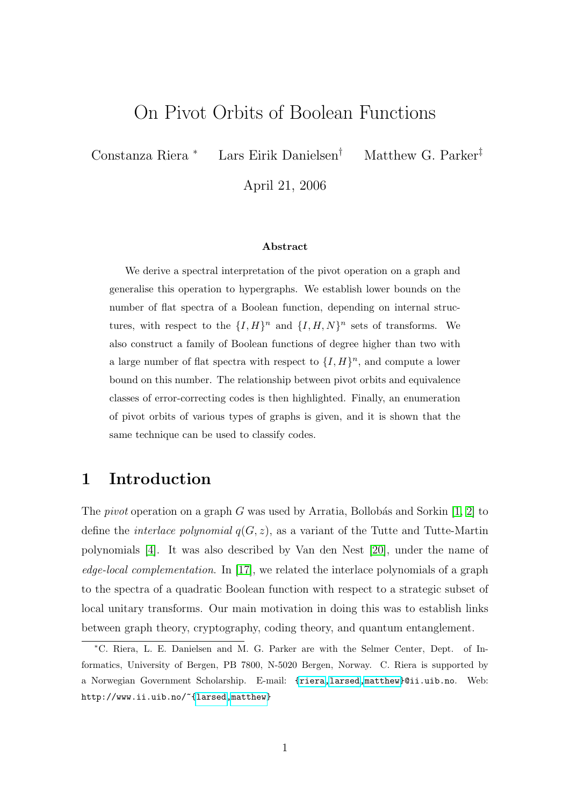## On Pivot Orbits of Boolean Functions

Constanza Riera <sup>∗</sup> Lars Eirik Danielsen† Matthew G. Parker‡

April 21, 2006

#### Abstract

We derive a spectral interpretation of the pivot operation on a graph and generalise this operation to hypergraphs. We establish lower bounds on the number of flat spectra of a Boolean function, depending on internal structures, with respect to the  $\{I, H\}^n$  and  $\{I, H, N\}^n$  sets of transforms. We also construct a family of Boolean functions of degree higher than two with a large number of flat spectra with respect to  $\{I, H\}^n$ , and compute a lower bound on this number. The relationship between pivot orbits and equivalence classes of error-correcting codes is then highlighted. Finally, an enumeration of pivot orbits of various types of graphs is given, and it is shown that the same technique can be used to classify codes.

## 1 Introduction

The *pivot* operation on a graph G was used by Arratia, Bollobás and Sorkin  $[1, 2]$  $[1, 2]$  to define the *interlace polynomial*  $q(G, z)$ , as a variant of the Tutte and Tutte-Martin polynomials [\[4\]](#page-24-2). It was also described by Van den Nest [\[20\]](#page-25-0), under the name of edge-local complementation. In [\[17\]](#page-25-1), we related the interlace polynomials of a graph to the spectra of a quadratic Boolean function with respect to a strategic subset of local unitary transforms. Our main motivation in doing this was to establish links between graph theory, cryptography, coding theory, and quantum entanglement.

<sup>∗</sup>C. Riera, L. E. Danielsen and M. G. Parker are with the Selmer Center, Dept. of Informatics, University of Bergen, PB 7800, N-5020 Bergen, Norway. C. Riera is supported by a Norwegian Government Scholarship. E-mail: [{riera](mailto:riera@ii.uib.no)[,larsed,](mailto:larsed@ii.uib.no)[matthew}](mailto:matthew@ii.uib.no)@ii.uib.no. Web: http://www.ii.uib.no/~[{larsed](http://www.ii.uib.no/~larsed)[,matthew}](http://www.ii.uib.no/~matthew)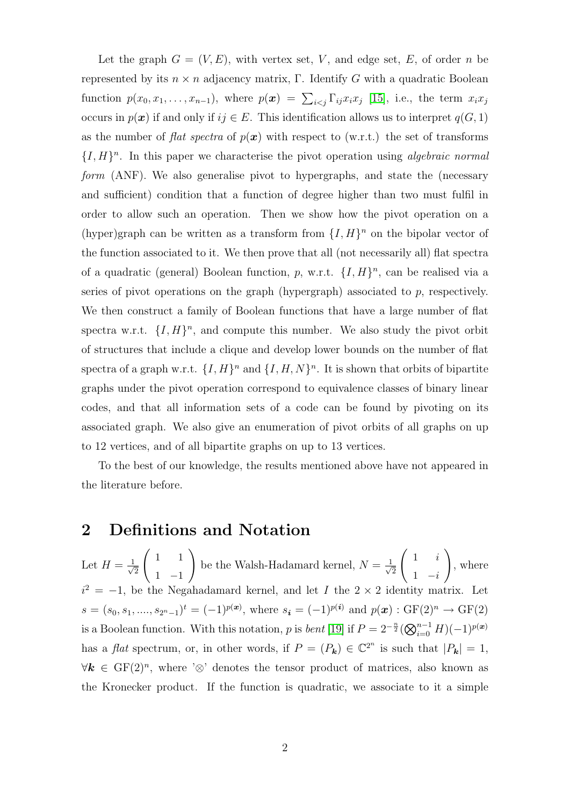Let the graph  $G = (V, E)$ , with vertex set, V, and edge set, E, of order n be represented by its  $n \times n$  adjacency matrix, Γ. Identify G with a quadratic Boolean function  $p(x_0, x_1, \ldots, x_{n-1})$ , where  $p(x) = \sum_{i < j} \Gamma_{ij} x_i x_j$  [\[15\]](#page-25-2), i.e., the term  $x_i x_j$ occurs in  $p(x)$  if and only if  $ij \in E$ . This identification allows us to interpret  $q(G, 1)$ as the number of flat spectra of  $p(x)$  with respect to (w.r.t.) the set of transforms  $\{I, H\}$ <sup>n</sup>. In this paper we characterise the pivot operation using *algebraic normal* form (ANF). We also generalise pivot to hypergraphs, and state the (necessary and sufficient) condition that a function of degree higher than two must fulfil in order to allow such an operation. Then we show how the pivot operation on a (hyper)graph can be written as a transform from  $\{I, H\}^n$  on the bipolar vector of the function associated to it. We then prove that all (not necessarily all) flat spectra of a quadratic (general) Boolean function, p, w.r.t.  $\{I, H\}^n$ , can be realised via a series of pivot operations on the graph (hypergraph) associated to  $p$ , respectively. We then construct a family of Boolean functions that have a large number of flat spectra w.r.t.  $\{I, H\}^n$ , and compute this number. We also study the pivot orbit of structures that include a clique and develop lower bounds on the number of flat spectra of a graph w.r.t.  $\{I, H\}^n$  and  $\{I, H, N\}^n$ . It is shown that orbits of bipartite graphs under the pivot operation correspond to equivalence classes of binary linear codes, and that all information sets of a code can be found by pivoting on its associated graph. We also give an enumeration of pivot orbits of all graphs on up to 12 vertices, and of all bipartite graphs on up to 13 vertices.

To the best of our knowledge, the results mentioned above have not appeared in the literature before.

## 2 Definitions and Notation

Let  $H = \frac{1}{\sqrt{2}}$ 2  $\begin{pmatrix} 1 & 1 \end{pmatrix}$ 1 −1  $\setminus$ be the Walsh-Hadamard kernel,  $N = \frac{1}{\sqrt{2}}$  $\overline{c}$  $\begin{pmatrix} 1 & i \end{pmatrix}$  $1 - i$  $\setminus$ , where  $i^2 = -1$ , be the Negahadamard kernel, and let I the 2 × 2 identity matrix. Let  $s = (s_0, s_1, \ldots, s_{2^n-1})^t = (-1)^{p(\boldsymbol{x})}$ , where  $s_i = (-1)^{p(\boldsymbol{i})}$  and  $p(\boldsymbol{x}) : \text{GF}(2)^n \to \text{GF}(2)$ is a Boolean function. With this notation, p is *bent* [\[19\]](#page-25-3) if  $P = 2^{-\frac{n}{2}} (\bigotimes_{i=0}^{n-1} H)(-1)^{p(x)}$ has a *flat* spectrum, or, in other words, if  $P = (P_k) \in \mathbb{C}^{2^n}$  is such that  $|P_k| = 1$ ,  $\forall k \in \mathrm{GF}(2)^n$ , where ' $\otimes$ ' denotes the tensor product of matrices, also known as the Kronecker product. If the function is quadratic, we associate to it a simple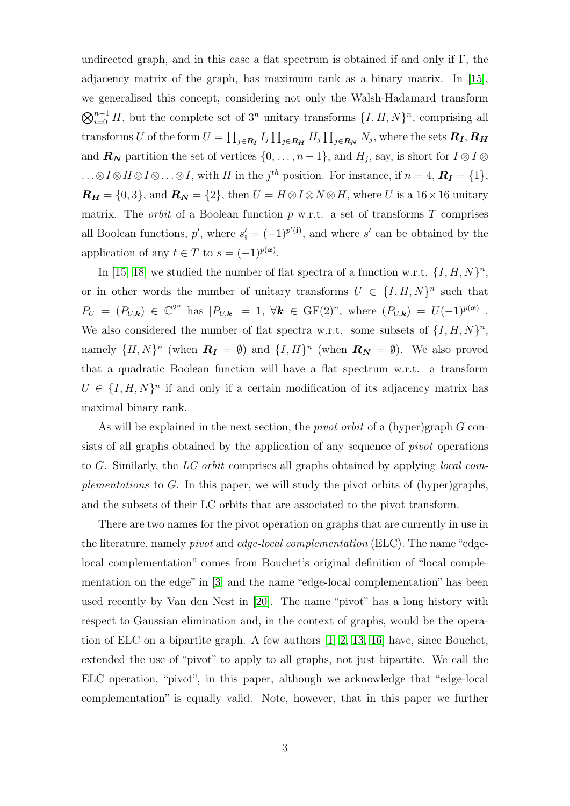undirected graph, and in this case a flat spectrum is obtained if and only if  $\Gamma$ , the adjacency matrix of the graph, has maximum rank as a binary matrix. In [\[15\]](#page-25-2), we generalised this concept, considering not only the Walsh-Hadamard transform  $\bigotimes_{i=0}^{n-1} H$ , but the complete set of 3<sup>n</sup> unitary transforms  $\{I, H, N\}$ <sup>n</sup>, comprising all transforms  $U$  of the form  $U=\prod_{j\in \bm{R_I}}I_j\prod_{j\in \bm{R_H}}H_j\prod_{j\in \bm{R_N}}N_j,$  where the sets  $\bm{R_I},\bm{R_H}$ and  $\mathbf{R}_{\mathbf{N}}$  partition the set of vertices  $\{0, \ldots, n-1\}$ , and  $H_j$ , say, is short for  $I \otimes I \otimes I$  $\ldots \otimes I \otimes H \otimes I \otimes \ldots \otimes I$ , with H in the j<sup>th</sup> position. For instance, if  $n = 4$ ,  $R_I = \{1\}$ ,  $\boldsymbol{R_H} = \{0,3\}$ , and  $\boldsymbol{R_N} = \{2\}$ , then  $U = H \otimes I \otimes N \otimes H$ , where U is a 16×16 unitary matrix. The *orbit* of a Boolean function  $p$  w.r.t. a set of transforms  $T$  comprises all Boolean functions,  $p'$ , where  $s'_{i} = (-1)^{p'(i)}$ , and where s' can be obtained by the application of any  $t \in T$  to  $s = (-1)^{p(x)}$ .

In [\[15,](#page-25-2) [18\]](#page-25-4) we studied the number of flat spectra of a function w.r.t.  $\{I, H, N\}^n$ , or in other words the number of unitary transforms  $U \in \{I, H, N\}^n$  such that  $P_U = (P_{U,\mathbf{k}}) \in \mathbb{C}^{2^n}$  has  $|P_{U,\mathbf{k}}| = 1$ ,  $\forall \mathbf{k} \in \mathrm{GF}(2)^n$ , where  $(P_{U,\mathbf{k}}) = U(-1)^{p(\mathbf{x})}$ . We also considered the number of flat spectra w.r.t. some subsets of  $\{I, H, N\}^n$ , namely  $\{H, N\}^n$  (when  $\mathbf{R}_{\mathbf{I}} = \emptyset$ ) and  $\{I, H\}^n$  (when  $\mathbf{R}_{\mathbf{N}} = \emptyset$ ). We also proved that a quadratic Boolean function will have a flat spectrum w.r.t. a transform  $U \in \{I, H, N\}^n$  if and only if a certain modification of its adjacency matrix has maximal binary rank.

As will be explained in the next section, the *pivot orbit* of a (hyper)graph  $G$  consists of all graphs obtained by the application of any sequence of *pivot* operations to G. Similarly, the LC orbit comprises all graphs obtained by applying local complementations to G. In this paper, we will study the pivot orbits of  $(hyper)$  graphs, and the subsets of their LC orbits that are associated to the pivot transform.

There are two names for the pivot operation on graphs that are currently in use in the literature, namely *pivot* and *edge-local complementation* (ELC). The name "edgelocal complementation" comes from Bouchet's original definition of "local complementation on the edge" in [\[3\]](#page-24-3) and the name "edge-local complementation" has been used recently by Van den Nest in [\[20\]](#page-25-0). The name "pivot" has a long history with respect to Gaussian elimination and, in the context of graphs, would be the operation of ELC on a bipartite graph. A few authors [\[1,](#page-24-0) [2,](#page-24-1) [13,](#page-25-5) [16\]](#page-25-6) have, since Bouchet, extended the use of "pivot" to apply to all graphs, not just bipartite. We call the ELC operation, "pivot", in this paper, although we acknowledge that "edge-local complementation" is equally valid. Note, however, that in this paper we further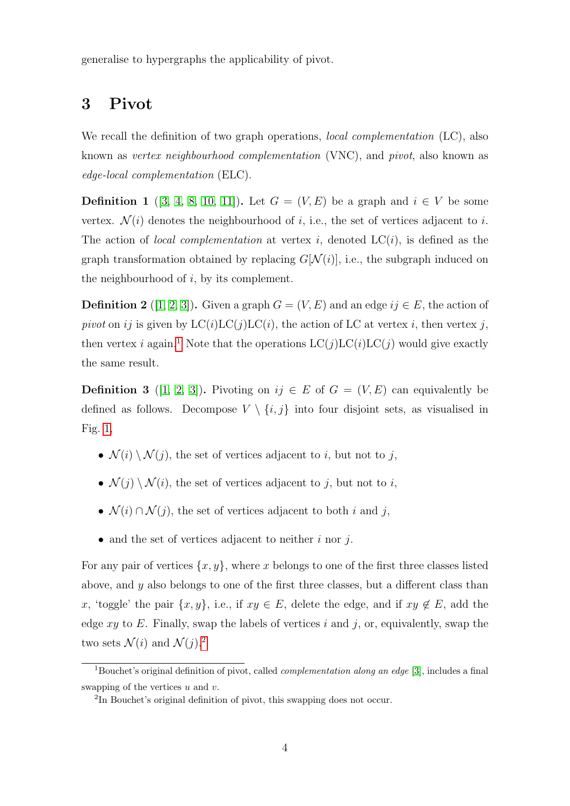generalise to hypergraphs the applicability of pivot.

## 3 Pivot

We recall the definition of two graph operations, *local complementation* (LC), also known as vertex neighbourhood complementation (VNC), and pivot, also known as edge-local complementation (ELC).

**Definition 1** ([\[3,](#page-24-3) [4,](#page-24-2) [8,](#page-25-7) [10,](#page-25-8) [11\]](#page-25-9)). Let  $G = (V, E)$  be a graph and  $i \in V$  be some vertex.  $\mathcal{N}(i)$  denotes the neighbourhood of i, i.e., the set of vertices adjacent to i. The action of *local complementation* at vertex i, denoted  $LC(i)$ , is defined as the graph transformation obtained by replacing  $G[N(i)]$ , i.e., the subgraph induced on the neighbourhood of  $i$ , by its complement.

<span id="page-3-3"></span>**Definition 2** ([\[1,](#page-24-0) [2,](#page-24-1) [3\]](#page-24-3)). Given a graph  $G = (V, E)$  and an edge  $ij \in E$ , the action of pivot on ij is given by  $LC(i)LC(j)LC(i)$ , the action of LC at vertex i, then vertex j, then vertex *i* again.<sup>[1](#page-3-0)</sup> Note that the operations  $LC(j)LC(i)LC(j)$  would give exactly the same result.

<span id="page-3-2"></span>**Definition 3** ([\[1,](#page-24-0) [2,](#page-24-1) [3\]](#page-24-3)). Pivoting on  $ij \in E$  of  $G = (V, E)$  can equivalently be defined as follows. Decompose  $V \setminus \{i, j\}$  into four disjoint sets, as visualised in Fig. [1,](#page-4-0)

- $\mathcal{N}(i) \setminus \mathcal{N}(j)$ , the set of vertices adjacent to *i*, but not to *j*,
- $\mathcal{N}(j) \setminus \mathcal{N}(i)$ , the set of vertices adjacent to j, but not to i,
- $\mathcal{N}(i) \cap \mathcal{N}(j)$ , the set of vertices adjacent to both i and j,
- and the set of vertices adjacent to neither  $i$  nor  $j$ .

For any pair of vertices  $\{x, y\}$ , where x belongs to one of the first three classes listed above, and  $\eta$  also belongs to one of the first three classes, but a different class than x, 'toggle' the pair  $\{x, y\}$ , i.e., if  $xy \in E$ , delete the edge, and if  $xy \notin E$ , add the edge  $xy$  to E. Finally, swap the labels of vertices i and j, or, equivalently, swap the two sets  $\mathcal{N}(i)$  and  $\mathcal{N}(j).^2$  $\mathcal{N}(j).^2$ 

<span id="page-3-0"></span><sup>&</sup>lt;sup>1</sup>Bouchet's original definition of pivot, called *complementation along an edge* [\[3\]](#page-24-3), includes a final swapping of the vertices  $u$  and  $v$ .

<span id="page-3-1"></span><sup>&</sup>lt;sup>2</sup>In Bouchet's original definition of pivot, this swapping does not occur.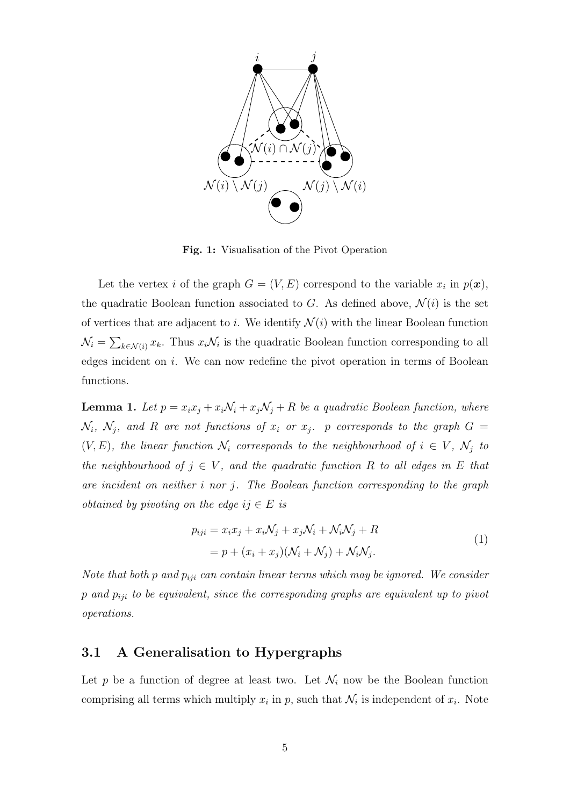

<span id="page-4-0"></span>Fig. 1: Visualisation of the Pivot Operation

Let the vertex *i* of the graph  $G = (V, E)$  correspond to the variable  $x_i$  in  $p(x)$ , the quadratic Boolean function associated to G. As defined above,  $\mathcal{N}(i)$  is the set of vertices that are adjacent to i. We identify  $\mathcal{N}(i)$  with the linear Boolean function  $\mathcal{N}_i = \sum_{k \in \mathcal{N}(i)} x_k$ . Thus  $x_i \mathcal{N}_i$  is the quadratic Boolean function corresponding to all edges incident on i. We can now redefine the pivot operation in terms of Boolean functions.

<span id="page-4-1"></span>**Lemma 1.** Let  $p = x_i x_j + x_i \mathcal{N}_i + x_j \mathcal{N}_j + R$  be a quadratic Boolean function, where  $\mathcal{N}_i$ ,  $\mathcal{N}_j$ , and R are not functions of  $x_i$  or  $x_j$ . p corresponds to the graph  $G =$  $(V, E)$ , the linear function  $\mathcal{N}_i$  corresponds to the neighbourhood of  $i \in V$ ,  $\mathcal{N}_j$  to the neighbourhood of  $j \in V$ , and the quadratic function R to all edges in E that are incident on neither i nor j. The Boolean function corresponding to the graph *obtained by pivoting on the edge ij*  $\in E$  *is* 

$$
p_{iji} = x_i x_j + x_i N_j + x_j N_i + N_i N_j + R
$$
  
=  $p + (x_i + x_j)(N_i + N_j) + N_i N_j.$  (1)

Note that both p and  $p_{ij}$  can contain linear terms which may be ignored. We consider  $p$  and  $p_{ii}$  to be equivalent, since the corresponding graphs are equivalent up to pivot operations.

### 3.1 A Generalisation to Hypergraphs

Let p be a function of degree at least two. Let  $\mathcal{N}_i$  now be the Boolean function comprising all terms which multiply  $x_i$  in p, such that  $\mathcal{N}_i$  is independent of  $x_i$ . Note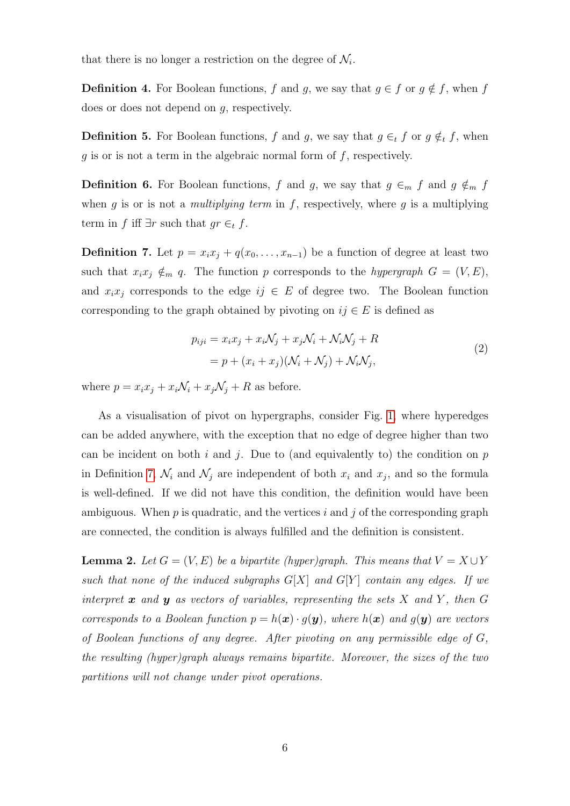that there is no longer a restriction on the degree of  $\mathcal{N}_i$ .

**Definition 4.** For Boolean functions, f and g, we say that  $g \in f$  or  $g \notin f$ , when f does or does not depend on g, respectively.

**Definition 5.** For Boolean functions, f and g, we say that  $g \in_t f$  or  $g \notin_t f$ , when  $q$  is or is not a term in the algebraic normal form of  $f$ , respectively.

**Definition 6.** For Boolean functions, f and g, we say that  $g \in_m f$  and  $g \notin_m f$ when g is or is not a multiplying term in f, respectively, where g is a multiplying term in f iff  $\exists r$  such that  $gr \in_t f$ .

<span id="page-5-0"></span>**Definition 7.** Let  $p = x_i x_j + q(x_0, \ldots, x_{n-1})$  be a function of degree at least two such that  $x_ix_j \notin_m q$ . The function p corresponds to the hypergraph  $G = (V, E)$ , and  $x_ix_j$  corresponds to the edge  $ij \in E$  of degree two. The Boolean function corresponding to the graph obtained by pivoting on  $ij \in E$  is defined as

$$
p_{iji} = x_i x_j + x_i \mathcal{N}_j + x_j \mathcal{N}_i + \mathcal{N}_i \mathcal{N}_j + R
$$
  
=  $p + (x_i + x_j)(\mathcal{N}_i + \mathcal{N}_j) + \mathcal{N}_i \mathcal{N}_j,$  (2)

where  $p = x_i x_j + x_i \mathcal{N}_i + x_j \mathcal{N}_j + R$  as before.

As a visualisation of pivot on hypergraphs, consider Fig. [1,](#page-4-0) where hyperedges can be added anywhere, with the exception that no edge of degree higher than two can be incident on both i and j. Due to (and equivalently to) the condition on  $p$ in Definition [7,](#page-5-0)  $\mathcal{N}_i$  and  $\mathcal{N}_j$  are independent of both  $x_i$  and  $x_j$ , and so the formula is well-defined. If we did not have this condition, the definition would have been ambiguous. When  $p$  is quadratic, and the vertices i and j of the corresponding graph are connected, the condition is always fulfilled and the definition is consistent.

<span id="page-5-1"></span>**Lemma 2.** Let  $G = (V, E)$  be a bipartite (hyper)graph. This means that  $V = X \cup Y$ such that none of the induced subgraphs  $G[X]$  and  $G[Y]$  contain any edges. If we interpret  $\boldsymbol{x}$  and  $\boldsymbol{y}$  as vectors of variables, representing the sets  $X$  and  $Y$ , then  $G$ corresponds to a Boolean function  $p = h(x) \cdot g(y)$ , where  $h(x)$  and  $g(y)$  are vectors of Boolean functions of any degree. After pivoting on any permissible edge of G, the resulting (hyper)graph always remains bipartite. Moreover, the sizes of the two partitions will not change under pivot operations.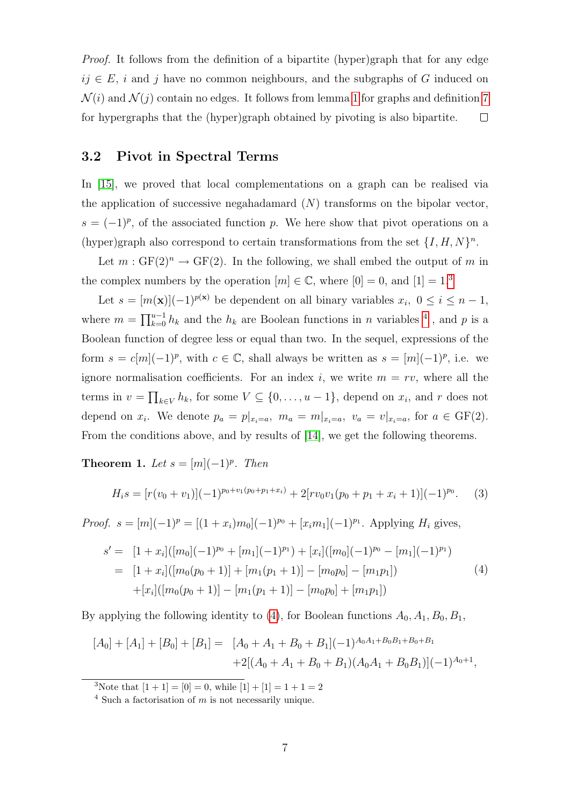Proof. It follows from the definition of a bipartite (hyper)graph that for any edge  $ij \in E$ , i and j have no common neighbours, and the subgraphs of G induced on  $\mathcal{N}(i)$  and  $\mathcal{N}(j)$  contain no edges. It follows from lemma [1](#page-4-1) for graphs and definition [7](#page-5-0) for hypergraphs that the (hyper)graph obtained by pivoting is also bipartite.  $\Box$ 

### 3.2 Pivot in Spectral Terms

In [\[15\]](#page-25-2), we proved that local complementations on a graph can be realised via the application of successive negahadamard  $(N)$  transforms on the bipolar vector,  $s = (-1)^p$ , of the associated function p. We here show that pivot operations on a (hyper)graph also correspond to certain transformations from the set  $\{I, H, N\}^n$ .

Let  $m: GF(2)^n \to GF(2)$ . In the following, we shall embed the output of m in the complex numbers by the operation  $[m] \in \mathbb{C}$ , where  $[0] = 0$ , and  $[1] = 1$ .<sup>[3](#page-6-0)</sup>

Let  $s = [m(\mathbf{x})](-1)^{p(\mathbf{x})}$  be dependent on all binary variables  $x_i, 0 \le i \le n-1$ , where  $m = \prod_{k=0}^{u-1} h_k$  and the  $h_k$  are Boolean functions in n variables <sup>[4](#page-6-1)</sup>, and p is a Boolean function of degree less or equal than two. In the sequel, expressions of the form  $s = c[m](-1)^p$ , with  $c \in \mathbb{C}$ , shall always be written as  $s = [m](-1)^p$ , i.e. we ignore normalisation coefficients. For an index i, we write  $m = rv$ , where all the terms in  $v = \prod_{k \in V} h_k$ , for some  $V \subseteq \{0, \ldots, u-1\}$ , depend on  $x_i$ , and r does not depend on  $x_i$ . We denote  $p_a = p|_{x_i=a}$ ,  $m_a = m|_{x_i=a}$ ,  $v_a = v|_{x_i=a}$ , for  $a \in \text{GF}(2)$ . From the conditions above, and by results of [\[14\]](#page-25-10), we get the following theorems.

<span id="page-6-3"></span>Theorem 1. Let  $s = [m](-1)^p$ . Then

<span id="page-6-2"></span>
$$
H_i s = [r(v_0 + v_1)](-1)^{p_0 + v_1(p_0 + p_1 + x_i)} + 2[rv_0v_1(p_0 + p_1 + x_i + 1)](-1)^{p_0}.
$$
 (3)

*Proof.*  $s = [m](-1)^p = [(1+x_i)m_0](-1)^{p_0} + [x_i m_1](-1)^{p_1}$ . Applying  $H_i$  gives,

$$
s' = [1 + x_i]([m_0](-1)^{p_0} + [m_1](-1)^{p_1}) + [x_i]([m_0](-1)^{p_0} - [m_1](-1)^{p_1})
$$
  
\n
$$
= [1 + x_i]([m_0(p_0 + 1)] + [m_1(p_1 + 1)] - [m_0p_0] - [m_1p_1])
$$
  
\n
$$
+ [x_i]([m_0(p_0 + 1)] - [m_1(p_1 + 1)] - [m_0p_0] + [m_1p_1])
$$
\n(4)

By applying the following identity to [\(4\)](#page-6-2), for Boolean functions  $A_0$ ,  $A_1$ ,  $B_0$ ,  $B_1$ ,

$$
[A_0] + [A_1] + [B_0] + [B_1] = [A_0 + A_1 + B_0 + B_1](-1)^{A_0A_1 + B_0B_1 + B_0 + B_1}
$$
  
+2[(A\_0 + A\_1 + B\_0 + B\_1)(A\_0A\_1 + B\_0B\_1)](-1)^{A\_0+1},

<span id="page-6-1"></span><span id="page-6-0"></span><sup>3</sup>Note that  $[1 + 1] = [0] = 0$ , while  $[1] + [1] = 1 + 1 = 2$ 

 $4$  Such a factorisation of m is not necessarily unique.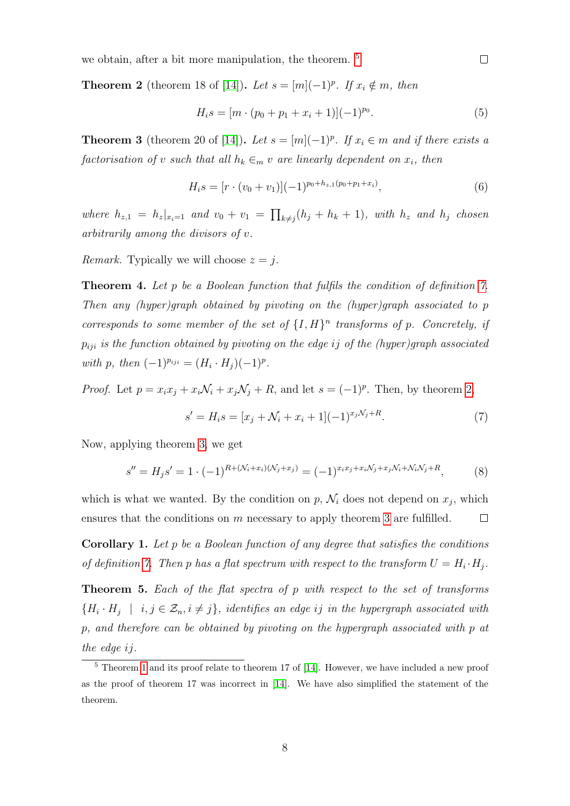we obtain, after a bit more manipulation, the theorem. <sup>[5](#page-7-0)</sup>

<span id="page-7-1"></span>**Theorem 2** (theorem 18 of [\[14\]](#page-25-10)). Let  $s = [m](-1)^p$ . If  $x_i \notin m$ , then

$$
H_i s = [m \cdot (p_0 + p_1 + x_i + 1)](-1)^{p_0}.
$$
\n(5)

 $\Box$ 

<span id="page-7-2"></span>**Theorem 3** (theorem 20 of [\[14\]](#page-25-10)). Let  $s = [m](-1)^p$ . If  $x_i \in m$  and if there exists a factorisation of v such that all  $h_k \in_m v$  are linearly dependent on  $x_i$ , then

$$
H_i s = [r \cdot (v_0 + v_1)](-1)^{p_0 + h_{z,1}(p_0 + p_1 + x_i)}, \tag{6}
$$

where  $h_{z,1} = h_z|_{x_i=1}$  and  $v_0 + v_1 = \prod_{k \neq j} (h_j + h_k + 1)$ , with  $h_z$  and  $h_j$  chosen arbitrarily among the divisors of v.

*Remark.* Typically we will choose  $z = j$ .

<span id="page-7-3"></span>**Theorem 4.** Let p be a Boolean function that fulfils the condition of definition [7.](#page-5-0) Then any (hyper)graph obtained by pivoting on the (hyper)graph associated to p corresponds to some member of the set of  $\{I, H\}^n$  transforms of p. Concretely, if  $p_{iji}$  is the function obtained by pivoting on the edge ij of the (hyper)graph associated with p, then  $(-1)^{p_{ij}} = (H_i \cdot H_j)(-1)^p$ .

*Proof.* Let  $p = x_i x_j + x_i \mathcal{N}_i + x_j \mathcal{N}_j + R$ , and let  $s = (-1)^p$ . Then, by theorem [2,](#page-7-1)

$$
s' = H_i s = [x_j + \mathcal{N}_i + x_i + 1](-1)^{x_j \mathcal{N}_j + R}.
$$
\n(7)

Now, applying theorem [3,](#page-7-2) we get

$$
s'' = H_j s' = 1 \cdot (-1)^{R + (\mathcal{N}_i + x_i)(\mathcal{N}_j + x_j)} = (-1)^{x_i x_j + x_i \mathcal{N}_j + x_j \mathcal{N}_i + \mathcal{N}_i \mathcal{N}_j + R},
$$
(8)

which is what we wanted. By the condition on  $p$ ,  $\mathcal{N}_i$  does not depend on  $x_j$ , which ensures that the conditions on  $m$  necessary to apply theorem [3](#page-7-2) are fulfilled.  $\Box$ 

**Corollary 1.** Let  $p$  be a Boolean function of any degree that satisfies the conditions of definition [7.](#page-5-0) Then p has a flat spectrum with respect to the transform  $U = H_i \cdot H_j$ .

<span id="page-7-4"></span>Theorem 5. Each of the flat spectra of p with respect to the set of transforms  $\{H_i \cdot H_j \mid i,j \in \mathcal{Z}_n, i \neq j\}$ , identifies an edge ij in the hypergraph associated with p, and therefore can be obtained by pivoting on the hypergraph associated with p at the edge ij.

<span id="page-7-0"></span><sup>5</sup> Theorem [1](#page-6-3) and its proof relate to theorem 17 of [\[14\]](#page-25-10). However, we have included a new proof as the proof of theorem 17 was incorrect in [\[14\]](#page-25-10). We have also simplified the statement of the theorem.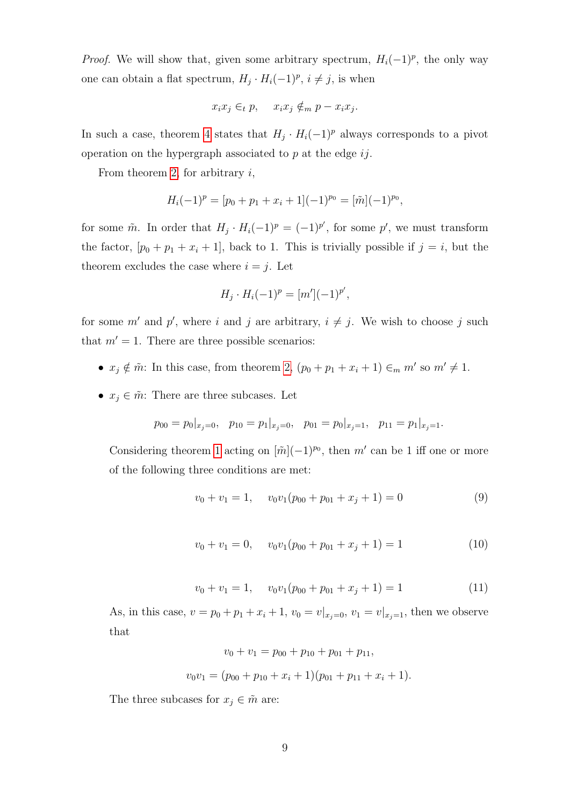*Proof.* We will show that, given some arbitrary spectrum,  $H_i(-1)^p$ , the only way one can obtain a flat spectrum,  $H_j \cdot H_i(-1)^p$ ,  $i \neq j$ , is when

$$
x_i x_j \in_t p, \quad x_i x_j \notin_m p - x_i x_j.
$$

In such a case, theorem [4](#page-7-3) states that  $H_j \cdot H_i(-1)^p$  always corresponds to a pivot operation on the hypergraph associated to  $p$  at the edge  $ij$ .

From theorem [2,](#page-7-1) for arbitrary  $i$ ,

$$
H_i(-1)^p = [p_0 + p_1 + x_i + 1](-1)^{p_0} = [\tilde{m}](-1)^{p_0},
$$

for some  $\tilde{m}$ . In order that  $H_j \cdot H_i(-1)^p = (-1)^{p'}$ , for some p', we must transform the factor,  $[p_0 + p_1 + x_i + 1]$ , back to 1. This is trivially possible if  $j = i$ , but the theorem excludes the case where  $i = j$ . Let

$$
H_j \cdot H_i(-1)^p = [m'](-1)^{p'},
$$

for some m' and p', where i and j are arbitrary,  $i \neq j$ . We wish to choose j such that  $m' = 1$ . There are three possible scenarios:

- $x_j \notin \tilde{m}$ : In this case, from theorem [2,](#page-7-1)  $(p_0 + p_1 + x_i + 1) \in_m m'$  so  $m' \neq 1$ .
- $x_j \in \tilde{m}$ : There are three subcases. Let

$$
p_{00} = p_0|_{x_j=0}, \quad p_{10} = p_1|_{x_j=0}, \quad p_{01} = p_0|_{x_j=1}, \quad p_{11} = p_1|_{x_j=1}.
$$

<span id="page-8-2"></span>Considering theorem [1](#page-6-3) acting on  $[\tilde{m}](-1)^{p_0}$ , then m' can be 1 iff one or more of the following three conditions are met:

<span id="page-8-0"></span>
$$
v_0 + v_1 = 1, \quad v_0 v_1 (p_{00} + p_{01} + x_j + 1) = 0 \tag{9}
$$

$$
v_0 + v_1 = 0, \quad v_0 v_1 (p_{00} + p_{01} + x_j + 1) = 1 \tag{10}
$$

$$
v_0 + v_1 = 1, \quad v_0 v_1 (p_{00} + p_{01} + x_j + 1) = 1 \tag{11}
$$

<span id="page-8-1"></span>As, in this case,  $v = p_0 + p_1 + x_i + 1$ ,  $v_0 = v|_{x_j=0}$ ,  $v_1 = v|_{x_j=1}$ , then we observe that

$$
v_0 + v_1 = p_{00} + p_{10} + p_{01} + p_{11},
$$
  

$$
v_0v_1 = (p_{00} + p_{10} + x_i + 1)(p_{01} + p_{11} + x_i + 1).
$$

The three subcases for  $x_j \in \tilde{m}$  are: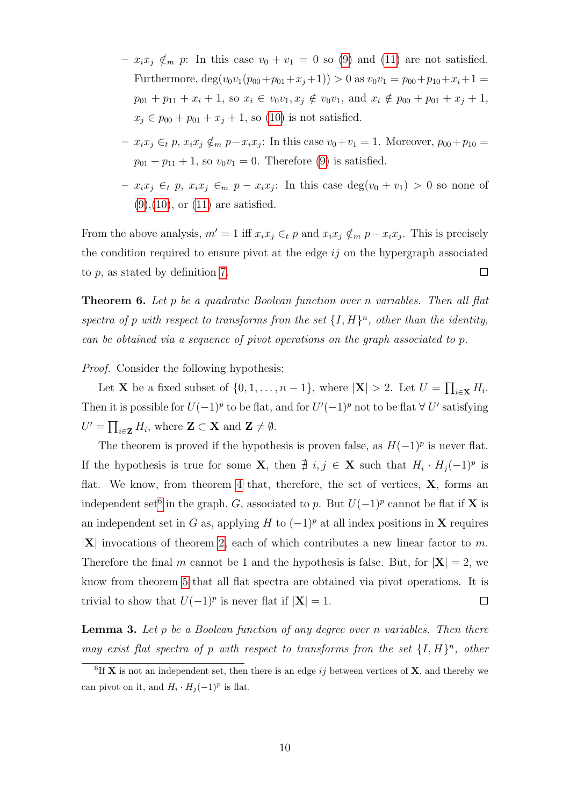- $x_i x_j \notin_m p$ : In this case  $v_0 + v_1 = 0$  so [\(9\)](#page-8-0) and [\(11\)](#page-8-1) are not satisfied. Furthermore,  $\deg(v_0v_1(p_{00}+p_{01}+x_j+1)) > 0$  as  $v_0v_1 = p_{00}+p_{10}+x_i+1$  $p_{01} + p_{11} + x_i + 1$ , so  $x_i \in v_0v_1, x_j \notin v_0v_1$ , and  $x_i \notin p_{00} + p_{01} + x_j + 1$ ,  $x_j \in p_{00} + p_{01} + x_j + 1$ , so [\(10\)](#page-8-2) is not satisfied.
- $x_i x_j \in_t p$ ,  $x_i x_j \notin_m p x_i x_j$ : In this case  $v_0 + v_1 = 1$ . Moreover,  $p_{00} + p_{10} =$  $p_{01} + p_{11} + 1$ , so  $v_0v_1 = 0$ . Therefore [\(9\)](#page-8-0) is satisfied.
- $x_i x_j \in_t p$ ,  $x_i x_j \in_m p x_i x_j$ : In this case  $deg(v_0 + v_1) > 0$  so none of  $(9)$ ,  $(10)$ , or  $(11)$  are satisfied.

From the above analysis,  $m' = 1$  iff  $x_i x_j \in_t p$  and  $x_i x_j \notin_m p - x_i x_j$ . This is precisely the condition required to ensure pivot at the edge  $ij$  on the hypergraph associated to  $p$ , as stated by definition [7.](#page-5-0)  $\Box$ 

**Theorem 6.** Let p be a quadratic Boolean function over n variables. Then all flat spectra of p with respect to transforms fron the set  $\{I, H\}^n$ , other than the identity, can be obtained via a sequence of pivot operations on the graph associated to p.

Proof. Consider the following hypothesis:

Let **X** be a fixed subset of  $\{0, 1, \ldots, n-1\}$ , where  $|\mathbf{X}| > 2$ . Let  $U = \prod_{i \in \mathbf{X}} H_i$ . Then it is possible for  $U(-1)^p$  to be flat, and for  $U'(-1)^p$  not to be flat  $\forall U'$  satisfying  $U' = \prod_{i \in \mathbf{Z}} H_i$ , where  $\mathbf{Z} \subset \mathbf{X}$  and  $\mathbf{Z} \neq \emptyset$ .

The theorem is proved if the hypothesis is proven false, as  $H(-1)^p$  is never flat. If the hypothesis is true for some **X**, then  $\neq i, j \in \mathbf{X}$  such that  $H_i \cdot H_j(-1)^p$  is flat. We know, from theorem [4](#page-7-3) that, therefore, the set of vertices,  $X$ , forms an independent set<sup>[6](#page-9-0)</sup> in the graph, G, associated to p. But  $U(-1)^p$  cannot be flat if **X** is an independent set in G as, applying H to  $(-1)^p$  at all index positions in X requires  $|X|$  invocations of theorem [2,](#page-7-1) each of which contributes a new linear factor to m. Therefore the final m cannot be 1 and the hypothesis is false. But, for  $|\mathbf{X}| = 2$ , we know from theorem [5](#page-7-4) that all flat spectra are obtained via pivot operations. It is trivial to show that  $U(-1)^p$  is never flat if  $|\mathbf{X}| = 1$ .  $\Box$ 

<span id="page-9-1"></span>**Lemma 3.** Let p be a Boolean function of any degree over n variables. Then there may exist flat spectra of p with respect to transforms fron the set  $\{I, H\}^n$ , other

<span id="page-9-0"></span><sup>&</sup>lt;sup>6</sup>If **X** is not an independent set, then there is an edge ij between vertices of **X**, and thereby we can pivot on it, and  $H_i \cdot H_j(-1)^p$  is flat.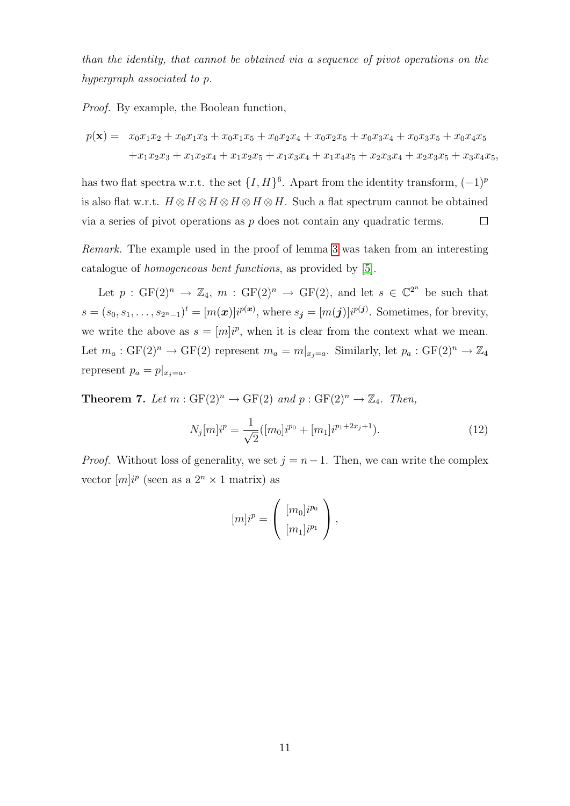than the identity, that cannot be obtained via a sequence of pivot operations on the hypergraph associated to p.

Proof. By example, the Boolean function,

$$
p(\mathbf{x}) = x_0x_1x_2 + x_0x_1x_3 + x_0x_1x_5 + x_0x_2x_4 + x_0x_2x_5 + x_0x_3x_4 + x_0x_3x_5 + x_0x_4x_5
$$
  
+
$$
x_1x_2x_3 + x_1x_2x_4 + x_1x_2x_5 + x_1x_3x_4 + x_1x_4x_5 + x_2x_3x_4 + x_2x_3x_5 + x_3x_4x_5,
$$

has two flat spectra w.r.t. the set  $\{I, H\}^6$ . Apart from the identity transform,  $(-1)^p$ is also flat w.r.t.  $H \otimes H \otimes H \otimes H \otimes H$ . Such a flat spectrum cannot be obtained via a series of pivot operations as  $p$  does not contain any quadratic terms.  $\Box$ 

Remark. The example used in the proof of lemma [3](#page-9-1) was taken from an interesting catalogue of homogeneous bent functions, as provided by [\[5\]](#page-24-4).

Let  $p: GF(2)^n \to \mathbb{Z}_4$ ,  $m: GF(2)^n \to GF(2)$ , and let  $s \in \mathbb{C}^{2^n}$  be such that  $s = (s_0, s_1, \ldots, s_{2^n-1})^t = [m(\boldsymbol{x})]i^{p(\boldsymbol{x})}$ , where  $s_{\boldsymbol{j}} = [m(\boldsymbol{j})]i^{p(\boldsymbol{j})}$ . Sometimes, for brevity, we write the above as  $s = [m]i^p$ , when it is clear from the context what we mean. Let  $m_a: GF(2)^n \to GF(2)$  represent  $m_a = m|_{x_j=a}$ . Similarly, let  $p_a: GF(2)^n \to \mathbb{Z}_4$ represent  $p_a = p|_{x_i=a}$ .

<span id="page-10-0"></span>**Theorem 7.** Let  $m : GF(2)^n \to GF(2)$  and  $p : GF(2)^n \to \mathbb{Z}_4$ . Then,

$$
N_j[m]i^p = \frac{1}{\sqrt{2}}([m_0]i^{p_0} + [m_1]i^{p_1+2x_j+1}).
$$
\n(12)

*Proof.* Without loss of generality, we set  $j = n - 1$ . Then, we can write the complex vector  $[m]i^p$  (seen as a  $2^n \times 1$  matrix) as

$$
[m]i^{p} = \left(\begin{array}{c} [m_0]i^{p_0} \\ [m_1]i^{p_1} \end{array}\right),
$$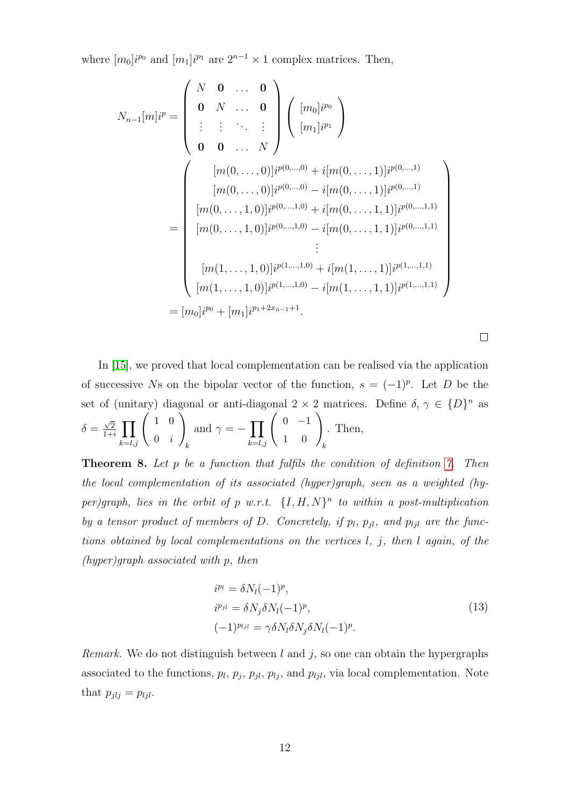where  $[m_0]$ <sup>*i* $^{p_0}$  and  $[m_1]$ <sup>*i* $^{p_1}$ </sup> are  $2^{n-1} \times 1$  complex matrices. Then,</sup>

$$
N_{n-1}[m]i^{p} = \begin{pmatrix} N & \mathbf{0} & \dots & \mathbf{0} \\ \mathbf{0} & N & \dots & \mathbf{0} \\ \vdots & \vdots & \ddots & \vdots \\ \mathbf{0} & \mathbf{0} & \dots & N \end{pmatrix} \begin{pmatrix} [m_{0}]i^{p_{0}} \\ [m_{1}]i^{p_{1}} \end{pmatrix}
$$
  
\n
$$
= \begin{pmatrix} [m(0, \dots, 0)]i^{p(0, \dots, 0)} + i[m(0, \dots, 1)]i^{p(0, \dots, 1)} \\ [m(0, \dots, 0)]i^{p(0, \dots, 0)} - i[m(0, \dots, 1, 1)]i^{p(0, \dots, 1)} \\ [m(0, \dots, 1, 0)]i^{p(0, \dots, 1, 0)} + i[m(0, \dots, 1, 1)]i^{p(0, \dots, 1, 1)} \\ \vdots \\ [m(1, \dots, 1, 0)]i^{p(1, \dots, 1, 0)} + i[m(1, \dots, 1, 1)]i^{p(1, \dots, 1, 1)} \\ [m(1, \dots, 1, 0)]i^{p(1, \dots, 1, 0)} - i[m(1, \dots, 1, 1)]i^{p(1, \dots, 1, 1)} \\ [m_0]i^{p_0} + [m_1]i^{p_1 + 2x_{n-1} + 1} .\end{pmatrix}
$$

 $\Box$ 

In [\[15\]](#page-25-2), we proved that local complementation can be realised via the application of successive Ns on the bipolar vector of the function,  $s = (-1)^p$ . Let D be the set of (unitary) diagonal or anti-diagonal  $2 \times 2$  matrices. Define  $\delta, \gamma \in \{D\}^n$  as  $\delta =$  $\sqrt{2}$  $\frac{\sqrt{2}}{1+i}$   $\prod$  $\prod_{k=l,j}$   $\begin{pmatrix} 1 & 0 \\ 0 & i \end{pmatrix}$  $0 \quad i$  $\setminus$ k and  $\gamma = -\prod$  $\prod_{k=l,j}\left(\begin{array}{cc} 0 & -1\ 1 & 0 \end{array}\right)_k$ . Then,

Theorem 8. Let p be a function that fulfils the condition of definition [7.](#page-5-0) Then the local complementation of its associated (hyper)graph, seen as a weighted (hyper)graph, lies in the orbit of p w.r.t.  $\{I, H, N\}^n$  to within a post-multiplication by a tensor product of members of D. Concretely, if  $p_l$ ,  $p_{jl}$ , and  $p_{ljl}$  are the functions obtained by local complementations on the vertices l, j, then l again, of the (hyper)graph associated with p, then

$$
i^{p_l} = \delta N_l(-1)^p,
$$
  
\n
$$
i^{p_{jl}} = \delta N_j \delta N_l(-1)^p,
$$
  
\n
$$
(-1)^{p_{ljl}} = \gamma \delta N_l \delta N_j \delta N_l(-1)^p.
$$
\n(13)

Remark. We do not distinguish between  $l$  and  $j$ , so one can obtain the hypergraphs associated to the functions,  $p_l$ ,  $p_j$ ,  $p_{jl}$ ,  $p_{lj}$ , and  $p_{lj}$ , via local complementation. Note that  $p_{jlj} = p_{ljl}$ .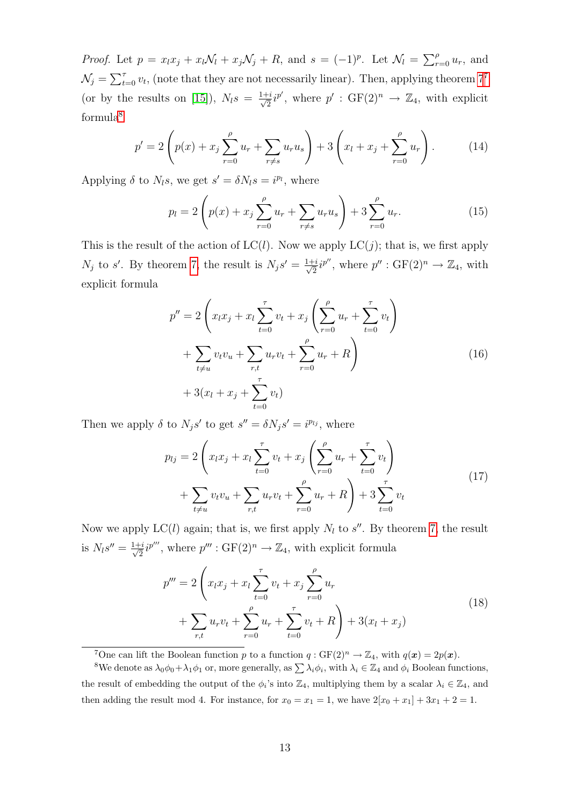*Proof.* Let  $p = x_l x_j + x_l \mathcal{N}_l + x_j \mathcal{N}_j + R$ , and  $s = (-1)^p$ . Let  $\mathcal{N}_l = \sum_{r=0}^p u_r$ , and  $\mathcal{N}_j = \sum_{t=0}^{\tau} v_t$ , (note that they are not necessarily linear). Then, applying theorem  $7^7$  $7^7$ (or by the results on [\[15\]](#page-25-2)),  $N_l s = \frac{1+i}{\sqrt{2}}$  $\frac{1}{2}i^{p'}$ , where  $p' : GF(2)^n \to \mathbb{Z}_4$ , with explicit formula<sup>[8](#page-12-1)</sup>

$$
p' = 2\left(p(x) + x_j \sum_{r=0}^{\rho} u_r + \sum_{r \neq s} u_r u_s\right) + 3\left(x_l + x_j + \sum_{r=0}^{\rho} u_r\right). \tag{14}
$$

Applying  $\delta$  to  $N_l s$ , we get  $s' = \delta N_l s = i^{p_l}$ , where

$$
p_l = 2\left(p(x) + x_j \sum_{r=0}^{\rho} u_r + \sum_{r \neq s} u_r u_s\right) + 3 \sum_{r=0}^{\rho} u_r. \tag{15}
$$

This is the result of the action of  $LC(l)$ . Now we apply  $LC(j)$ ; that is, we first apply  $N_j$  to s'. By theorem [7,](#page-10-0) the result is  $N_j s' = \frac{1+i}{\sqrt{2}}$  $\frac{1}{2}i^{p''}$ , where  $p'' : GF(2)^n \to \mathbb{Z}_4$ , with explicit formula

$$
p'' = 2\left(x_l x_j + x_l \sum_{t=0}^{\tau} v_t + x_j \left(\sum_{r=0}^{\rho} u_r + \sum_{t=0}^{\tau} v_t\right) + \sum_{t \neq u} v_t v_u + \sum_{r,t} u_r v_t + \sum_{r=0}^{\rho} u_r + R\right) + 3(x_l + x_j + \sum_{t=0}^{\tau} v_t)
$$
\n(16)

Then we apply  $\delta$  to  $N_j s'$  to get  $s'' = \delta N_j s' = i^{p_{lj}}$ , where

$$
p_{lj} = 2\left(x_l x_j + x_l \sum_{t=0}^{\tau} v_t + x_j \left(\sum_{r=0}^{\rho} u_r + \sum_{t=0}^{\tau} v_t\right) + \sum_{t \neq u} v_t v_u + \sum_{r,t} u_r v_t + \sum_{r=0}^{\rho} u_r + R\right) + 3 \sum_{t=0}^{\tau} v_t
$$
\n(17)

Now we apply  $LC(l)$  again; that is, we first apply  $N_l$  to  $s''$ . By theorem [7,](#page-10-0) the result is  $N_l s'' = \frac{1+i}{\sqrt{2}}$  $\frac{1}{2}i^{p'''}$ , where  $p''' : GF(2)^n \to \mathbb{Z}_4$ , with explicit formula

$$
p''' = 2\left(x_l x_j + x_l \sum_{t=0}^{\tau} v_t + x_j \sum_{r=0}^{\rho} u_r + \sum_{r=0}^{\tau} u_r + \sum_{t=0}^{\tau} v_t + R\right) + 3(x_l + x_j)
$$
\n(18)

<span id="page-12-1"></span><span id="page-12-0"></span><sup>&</sup>lt;sup>7</sup>One can lift the Boolean function p to a function  $q: GF(2)^n \to \mathbb{Z}_4$ , with  $q(\boldsymbol{x}) = 2p(\boldsymbol{x})$ .

<sup>&</sup>lt;sup>8</sup>We denote as  $\lambda_0 \phi_0 + \lambda_1 \phi_1$  or, more generally, as  $\sum \lambda_i \phi_i$ , with  $\lambda_i \in \mathbb{Z}_4$  and  $\phi_i$  Boolean functions, the result of embedding the output of the  $\phi_i$ 's into  $\mathbb{Z}_4$ , multiplying them by a scalar  $\lambda_i \in \mathbb{Z}_4$ , and then adding the result mod 4. For instance, for  $x_0 = x_1 = 1$ , we have  $2[x_0 + x_1] + 3x_1 + 2 = 1$ .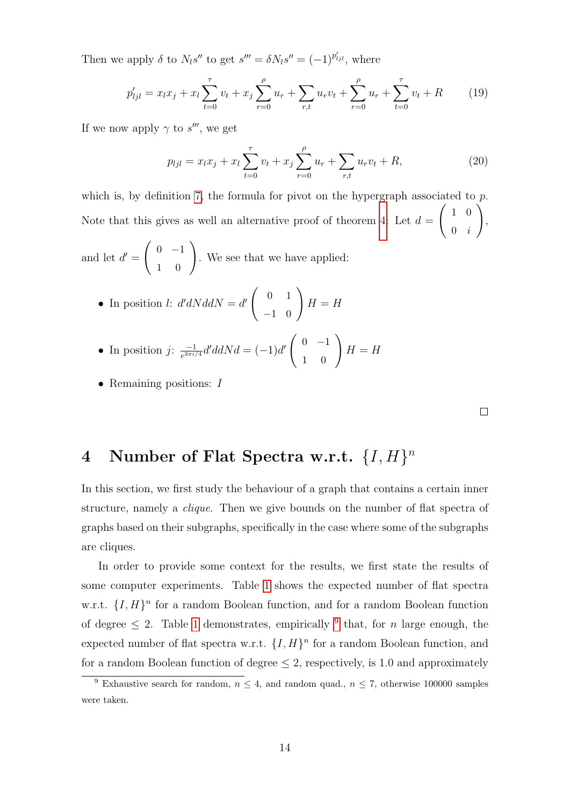Then we apply  $\delta$  to  $N_l s''$  to get  $s''' = \delta N_l s'' = (-1)^{p'_{ljl}}$ , where

$$
p'_{ljl} = x_l x_j + x_l \sum_{t=0}^{\tau} v_t + x_j \sum_{r=0}^{\rho} u_r + \sum_{r,t} u_r v_t + \sum_{r=0}^{\rho} u_r + \sum_{t=0}^{\tau} v_t + R \qquad (19)
$$

If we now apply  $\gamma$  to  $s'''$ , we get

$$
p_{ljl} = x_l x_j + x_l \sum_{t=0}^{\tau} v_t + x_j \sum_{r=0}^{\rho} u_r + \sum_{r,t} u_r v_t + R,
$$
 (20)

which is, by definition [7,](#page-5-0) the formula for pivot on the hypergraph associated to  $p$ . Note that this gives as well an alternative proof of theorem [4:](#page-7-3) Let  $d =$  $\begin{pmatrix} 1 & 0 \end{pmatrix}$  $0 \quad i$  $\setminus$ ,

and let 
$$
d' = \begin{pmatrix} 0 & -1 \\ 1 & 0 \end{pmatrix}
$$
. We see that we have applied:

• In position *l*: 
$$
d'dNddN = d' \begin{pmatrix} 0 & 1 \\ -1 & 0 \end{pmatrix} H = H
$$

• In position *j*: 
$$
\frac{-1}{e^{3\pi i/4}} d' d dN d = (-1)d' \begin{pmatrix} 0 & -1 \\ 1 & 0 \end{pmatrix} H = H
$$

• Remaining positions: I

## 4 Number of Flat Spectra w.r.t.  $\{I, H\}^n$

In this section, we first study the behaviour of a graph that contains a certain inner structure, namely a *clique*. Then we give bounds on the number of flat spectra of graphs based on their subgraphs, specifically in the case where some of the subgraphs are cliques.

In order to provide some context for the results, we first state the results of some computer experiments. Table [1](#page-14-0) shows the expected number of flat spectra w.r.t.  $\{I, H\}^n$  for a random Boolean function, and for a random Boolean function of degree  $\leq 2$ . Table [1](#page-14-0) demonstrates, empirically <sup>[9](#page-13-0)</sup> that, for *n* large enough, the expected number of flat spectra w.r.t.  $\{I, H\}^n$  for a random Boolean function, and for a random Boolean function of degree  $\leq 2$ , respectively, is 1.0 and approximately

<span id="page-13-0"></span><sup>&</sup>lt;sup>9</sup> Exhaustive search for random,  $n \leq 4$ , and random quad.,  $n \leq 7$ , otherwise 100000 samples were taken.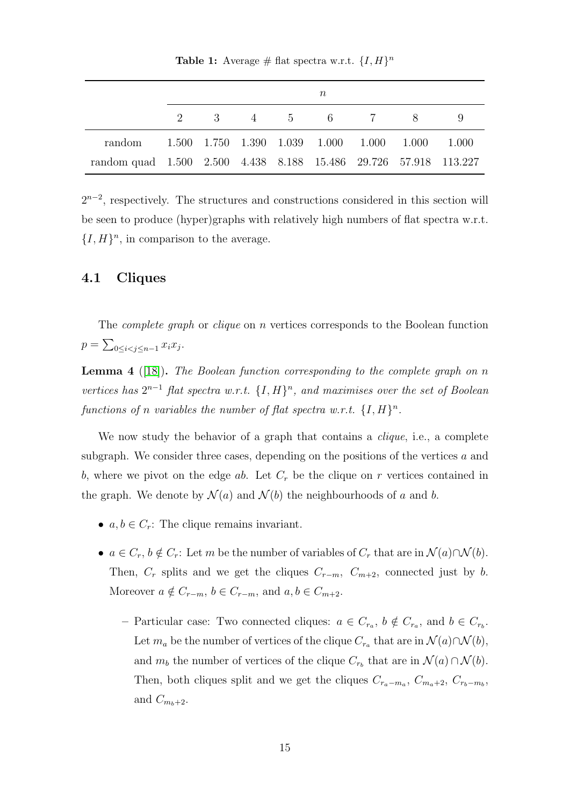<span id="page-14-0"></span>**Table 1:** Average # flat spectra w.r.t.  $\{I, H\}^n$ 

|                                                                  | $\, n$ |  |  |  |  |  |                                                 |  |
|------------------------------------------------------------------|--------|--|--|--|--|--|-------------------------------------------------|--|
|                                                                  |        |  |  |  |  |  | 2 3 4 5 6 7 8 9                                 |  |
| random                                                           |        |  |  |  |  |  | 1.500 1.750 1.390 1.039 1.000 1.000 1.000 1.000 |  |
| random quad 1.500 2.500 4.438 8.188 15.486 29.726 57.918 113.227 |        |  |  |  |  |  |                                                 |  |

 $2^{n-2}$ , respectively. The structures and constructions considered in this section will be seen to produce (hyper)graphs with relatively high numbers of flat spectra w.r.t.  $\{I, H\}^n$ , in comparison to the average.

### <span id="page-14-1"></span>4.1 Cliques

The *complete graph* or *clique* on *n* vertices corresponds to the Boolean function  $p = \sum_{0 \le i < j \le n-1} x_i x_j.$ 

<span id="page-14-2"></span>**Lemma 4** ([\[18\]](#page-25-4)). The Boolean function corresponding to the complete graph on n vertices has  $2^{n-1}$  flat spectra w.r.t.  $\{I, H\}^n$ , and maximises over the set of Boolean functions of n variables the number of flat spectra w.r.t.  $\{I, H\}^n$ .

We now study the behavior of a graph that contains a *clique*, i.e., a complete subgraph. We consider three cases, depending on the positions of the vertices a and b, where we pivot on the edge ab. Let  $C_r$  be the clique on r vertices contained in the graph. We denote by  $\mathcal{N}(a)$  and  $\mathcal{N}(b)$  the neighbourhoods of a and b.

- $a, b \in C_r$ : The clique remains invariant.
- $a \in C_r$ ,  $b \notin C_r$ : Let m be the number of variables of  $C_r$  that are in  $\mathcal{N}(a) \cap \mathcal{N}(b)$ . Then,  $C_r$  splits and we get the cliques  $C_{r-m}$ ,  $C_{m+2}$ , connected just by b. Moreover  $a \notin C_{r-m}$ ,  $b \in C_{r-m}$ , and  $a, b \in C_{m+2}$ .
	- Particular case: Two connected cliques:  $a \in C_{r_a}, b \notin C_{r_a}$ , and  $b \in C_{r_b}$ . Let  $m_a$  be the number of vertices of the clique  $C_{r_a}$  that are in  $\mathcal{N}(a) \cap \mathcal{N}(b)$ , and  $m_b$  the number of vertices of the clique  $C_{r_b}$  that are in  $\mathcal{N}(a) \cap \mathcal{N}(b)$ . Then, both cliques split and we get the cliques  $C_{r_a-m_a}, C_{m_a+2}, C_{r_b-m_b},$ and  $C_{m_b+2}$ .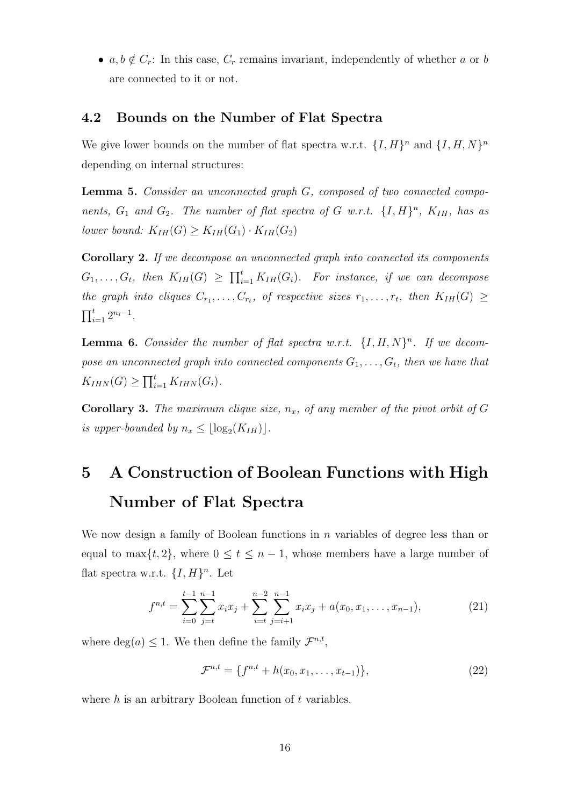•  $a, b \notin C_r$ : In this case,  $C_r$  remains invariant, independently of whether a or b are connected to it or not.

### 4.2 Bounds on the Number of Flat Spectra

We give lower bounds on the number of flat spectra w.r.t.  $\{I, H\}^n$  and  $\{I, H, N\}^n$ depending on internal structures:

Lemma 5. Consider an unconnected graph G, composed of two connected components,  $G_1$  and  $G_2$ . The number of flat spectra of G w.r.t.  $\{I, H\}^n$ ,  $K_{IH}$ , has as lower bound:  $K_{IH}(G) \geq K_{IH}(G_1) \cdot K_{IH}(G_2)$ 

Corollary 2. If we decompose an unconnected graph into connected its components  $G_1, \ldots, G_t$ , then  $K_{IH}(G) \geq \prod_{i=1}^t K_{IH}(G_i)$ . For instance, if we can decompose the graph into cliques  $C_{r_1}, \ldots, C_{r_t}$ , of respective sizes  $r_1, \ldots, r_t$ , then  $K_{IH}(G) \geq$  $\prod_{i=1}^{t} 2^{n_i-1}$ .

**Lemma 6.** Consider the number of flat spectra w.r.t.  $\{I, H, N\}^n$ . If we decompose an unconnected graph into connected components  $G_1, \ldots, G_t$ , then we have that  $K_{IHN}(G) \ge \prod_{i=1}^{t} K_{IHN}(G_i).$ 

Corollary 3. The maximum clique size,  $n_x$ , of any member of the pivot orbit of G is upper-bounded by  $n_x \leq \lfloor \log_2(K_{IH}) \rfloor$ .

# 5 A Construction of Boolean Functions with High Number of Flat Spectra

We now design a family of Boolean functions in  $n$  variables of degree less than or equal to max $\{t, 2\}$ , where  $0 \le t \le n - 1$ , whose members have a large number of flat spectra w.r.t.  $\{I, H\}^n$ . Let

$$
f^{n,t} = \sum_{i=0}^{t-1} \sum_{j=t}^{n-1} x_i x_j + \sum_{i=t}^{n-2} \sum_{j=i+1}^{n-1} x_i x_j + a(x_0, x_1, \dots, x_{n-1}),
$$
\n(21)

where  $deg(a) \leq 1$ . We then define the family  $\mathcal{F}^{n,t}$ ,

$$
\mathcal{F}^{n,t} = \{f^{n,t} + h(x_0, x_1, \dots, x_{t-1})\},\tag{22}
$$

where  $h$  is an arbitrary Boolean function of  $t$  variables.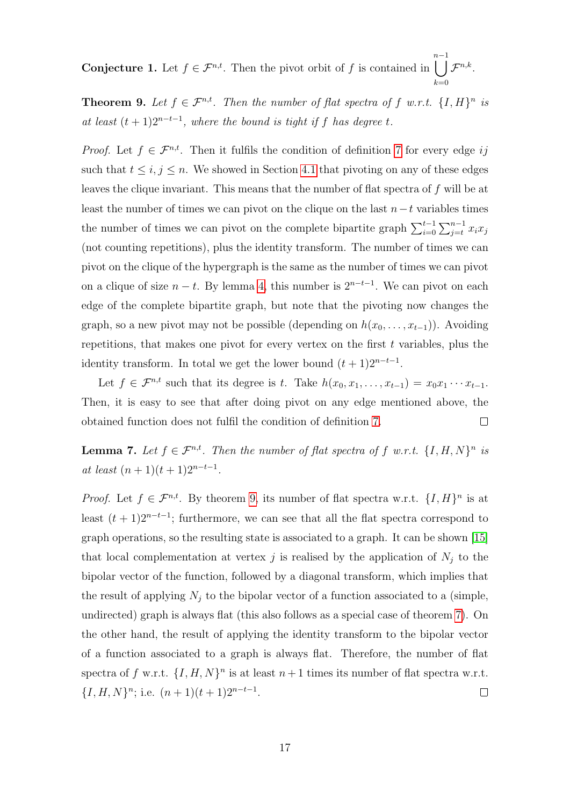**Conjecture 1.** Let  $f \in \mathcal{F}^{n,t}$ . Then the pivot orbit of f is contained in  $\prod_{i=1}^{n-1}$  $k=0$  $\mathcal{F}^{n,k}.$ 

<span id="page-16-0"></span>**Theorem 9.** Let  $f \in \mathcal{F}^{n,t}$ . Then the number of flat spectra of f w.r.t.  $\{I, H\}^{n}$  is at least  $(t + 1)2^{n-t-1}$ , where the bound is tight if f has degree t.

*Proof.* Let  $f \in \mathcal{F}^{n,t}$ . Then it fulfils the condition of definition [7](#page-5-0) for every edge ij such that  $t \leq i, j \leq n$ . We showed in Section [4.1](#page-14-1) that pivoting on any of these edges leaves the clique invariant. This means that the number of flat spectra of f will be at least the number of times we can pivot on the clique on the last  $n-t$  variables times the number of times we can pivot on the complete bipartite graph  $\sum_{i=0}^{t-1} \sum_{j=t}^{n-1} x_i x_j$ (not counting repetitions), plus the identity transform. The number of times we can pivot on the clique of the hypergraph is the same as the number of times we can pivot on a clique of size  $n - t$ . By lemma [4,](#page-14-2) this number is  $2^{n-t-1}$ . We can pivot on each edge of the complete bipartite graph, but note that the pivoting now changes the graph, so a new pivot may not be possible (depending on  $h(x_0, \ldots, x_{t-1})$ ). Avoiding repetitions, that makes one pivot for every vertex on the first  $t$  variables, plus the identity transform. In total we get the lower bound  $(t + 1)2^{n-t-1}$ .

Let  $f \in \mathcal{F}^{n,t}$  such that its degree is t. Take  $h(x_0, x_1, \ldots, x_{t-1}) = x_0 x_1 \cdots x_{t-1}$ . Then, it is easy to see that after doing pivot on any edge mentioned above, the obtained function does not fulfil the condition of definition [7.](#page-5-0)  $\Box$ 

**Lemma 7.** Let  $f \in \mathcal{F}^{n,t}$ . Then the number of flat spectra of f w.r.t.  $\{I, H, N\}^n$  is at least  $(n + 1)(t + 1)2^{n-t-1}$ .

*Proof.* Let  $f \in \mathcal{F}^{n,t}$ . By theorem [9,](#page-16-0) its number of flat spectra w.r.t.  $\{I, H\}^n$  is at least  $(t + 1)2^{n-t-1}$ ; furthermore, we can see that all the flat spectra correspond to graph operations, so the resulting state is associated to a graph. It can be shown [\[15\]](#page-25-2) that local complementation at vertex j is realised by the application of  $N_j$  to the bipolar vector of the function, followed by a diagonal transform, which implies that the result of applying  $N_j$  to the bipolar vector of a function associated to a (simple, undirected) graph is always flat (this also follows as a special case of theorem [7\)](#page-10-0). On the other hand, the result of applying the identity transform to the bipolar vector of a function associated to a graph is always flat. Therefore, the number of flat spectra of f w.r.t.  $\{I, H, N\}^n$  is at least  $n+1$  times its number of flat spectra w.r.t.  $\{I, H, N\}^n$ ; i.e.  $(n+1)(t+1)2^{n-t-1}$ .  $\Box$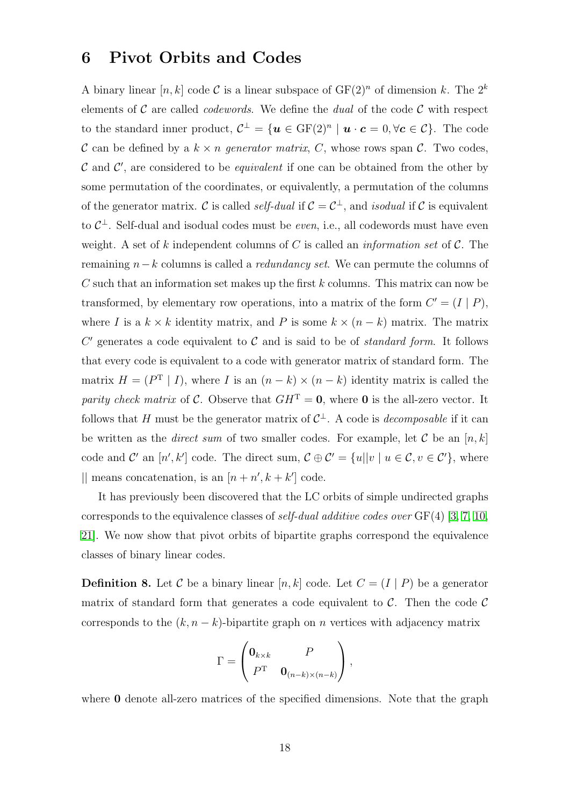### 6 Pivot Orbits and Codes

A binary linear  $[n, k]$  code C is a linear subspace of  $GF(2)^n$  of dimension k. The  $2^k$ elements of C are called *codewords*. We define the *dual* of the code C with respect to the standard inner product,  $\mathcal{C}^{\perp} = {\mathbf{u} \in \mathrm{GF}(2)^n \mid \mathbf{u} \cdot \mathbf{c} = 0, \forall \mathbf{c} \in \mathcal{C}}$ . The code C can be defined by a  $k \times n$  generator matrix, C, whose rows span C. Two codes,  $\mathcal C$  and  $\mathcal C'$ , are considered to be *equivalent* if one can be obtained from the other by some permutation of the coordinates, or equivalently, a permutation of the columns of the generator matrix. C is called *self-dual* if  $C = C^{\perp}$ , and *isodual* if C is equivalent to  $C^{\perp}$ . Self-dual and isodual codes must be *even*, i.e., all codewords must have even weight. A set of k independent columns of C is called an *information set* of  $\mathcal{C}$ . The remaining  $n-k$  columns is called a *redundancy set*. We can permute the columns of C such that an information set makes up the first  $k$  columns. This matrix can now be transformed, by elementary row operations, into a matrix of the form  $C' = (I | P)$ , where I is a  $k \times k$  identity matrix, and P is some  $k \times (n - k)$  matrix. The matrix  $C'$  generates a code equivalent to  $C$  and is said to be of *standard form*. It follows that every code is equivalent to a code with generator matrix of standard form. The matrix  $H = (P^{T} | I)$ , where I is an  $(n - k) \times (n - k)$  identity matrix is called the parity check matrix of C. Observe that  $GH^T = 0$ , where 0 is the all-zero vector. It follows that H must be the generator matrix of  $C^{\perp}$ . A code is *decomposable* if it can be written as the *direct sum* of two smaller codes. For example, let C be an  $[n, k]$ code and C' an  $[n',k']$  code. The direct sum,  $\mathcal{C} \oplus \mathcal{C}' = \{u||v \mid u \in \mathcal{C}, v \in \mathcal{C}'\}$ , where  $\parallel$  means concatenation, is an  $[n + n', k + k']$  code.

It has previously been discovered that the LC orbits of simple undirected graphs corresponds to the equivalence classes of *self-dual additive codes over*  $GF(4)$  [\[3,](#page-24-3) [7,](#page-25-11) [10,](#page-25-8) [21\]](#page-26-0). We now show that pivot orbits of bipartite graphs correspond the equivalence classes of binary linear codes.

<span id="page-17-0"></span>**Definition 8.** Let C be a binary linear  $[n, k]$  code. Let  $C = (I | P)$  be a generator matrix of standard form that generates a code equivalent to  $\mathcal{C}$ . Then the code  $\mathcal{C}$ corresponds to the  $(k, n - k)$ -bipartite graph on n vertices with adjacency matrix

$$
\Gamma = \begin{pmatrix} \mathbf{0}_{k \times k} & P \\ P^{\mathrm{T}} & \mathbf{0}_{(n-k) \times (n-k)} \end{pmatrix},
$$

where **0** denote all-zero matrices of the specified dimensions. Note that the graph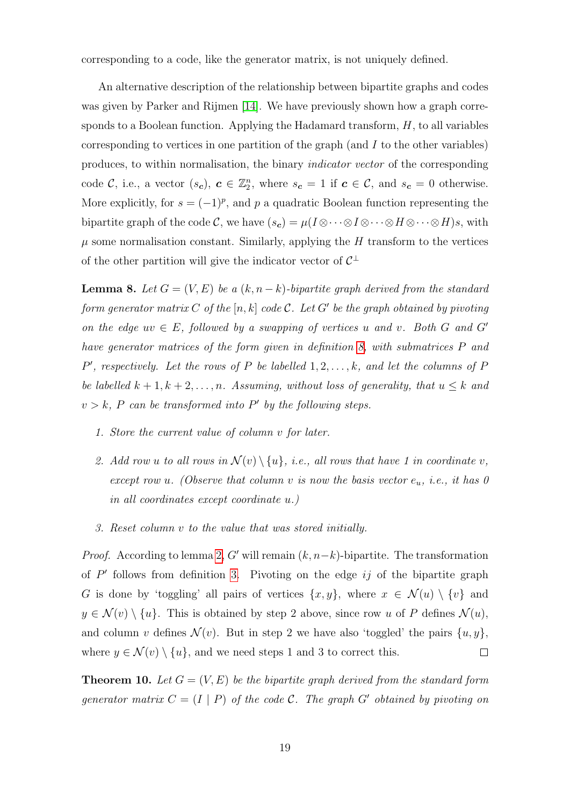corresponding to a code, like the generator matrix, is not uniquely defined.

An alternative description of the relationship between bipartite graphs and codes was given by Parker and Rijmen [\[14\]](#page-25-10). We have previously shown how a graph corresponds to a Boolean function. Applying the Hadamard transform,  $H$ , to all variables corresponding to vertices in one partition of the graph (and  $I$  to the other variables) produces, to within normalisation, the binary indicator vector of the corresponding code C, i.e., a vector  $(s_c)$ ,  $c \in \mathbb{Z}_2^n$ , where  $s_c = 1$  if  $c \in \mathcal{C}$ , and  $s_c = 0$  otherwise. More explicitly, for  $s = (-1)^p$ , and p a quadratic Boolean function representing the bipartite graph of the code C, we have  $(s_c) = \mu(I \otimes \cdots \otimes I \otimes \cdots \otimes H)$ s, with  $\mu$  some normalisation constant. Similarly, applying the H transform to the vertices of the other partition will give the indicator vector of  $C^{\perp}$ 

<span id="page-18-0"></span>**Lemma 8.** Let  $G = (V, E)$  be a  $(k, n-k)$ -bipartite graph derived from the standard form generator matrix C of the  $[n, k]$  code C. Let G' be the graph obtained by pivoting on the edge  $uv \in E$ , followed by a swapping of vertices u and v. Both G and G' have generator matrices of the form given in definition [8,](#page-17-0) with submatrices P and  $P'$ , respectively. Let the rows of P be labelled  $1, 2, \ldots, k$ , and let the columns of P be labelled  $k + 1, k + 2, \ldots, n$ . Assuming, without loss of generality, that  $u \leq k$  and  $v > k$ , P can be transformed into P' by the following steps.

- 1. Store the current value of column v for later.
- 2. Add row u to all rows in  $\mathcal{N}(v) \setminus \{u\}$ , i.e., all rows that have 1 in coordinate v, except row u. (Observe that column v is now the basis vector  $e_u$ , i.e., it has 0 in all coordinates except coordinate u.)
- 3. Reset column v to the value that was stored initially.

*Proof.* According to lemma [2,](#page-5-1) G' will remain  $(k, n-k)$ -bipartite. The transformation of  $P'$  follows from definition [3.](#page-3-2) Pivoting on the edge ij of the bipartite graph G is done by 'toggling' all pairs of vertices  $\{x, y\}$ , where  $x \in \mathcal{N}(u) \setminus \{v\}$  and  $y \in \mathcal{N}(v) \setminus \{u\}$ . This is obtained by step 2 above, since row u of P defines  $\mathcal{N}(u)$ , and column v defines  $\mathcal{N}(v)$ . But in step 2 we have also 'toggled' the pairs  $\{u, y\}$ , where  $y \in \mathcal{N}(v) \setminus \{u\}$ , and we need steps 1 and 3 to correct this.  $\Box$ 

<span id="page-18-1"></span>**Theorem 10.** Let  $G = (V, E)$  be the bipartite graph derived from the standard form generator matrix  $C = (I | P)$  of the code C. The graph G' obtained by pivoting on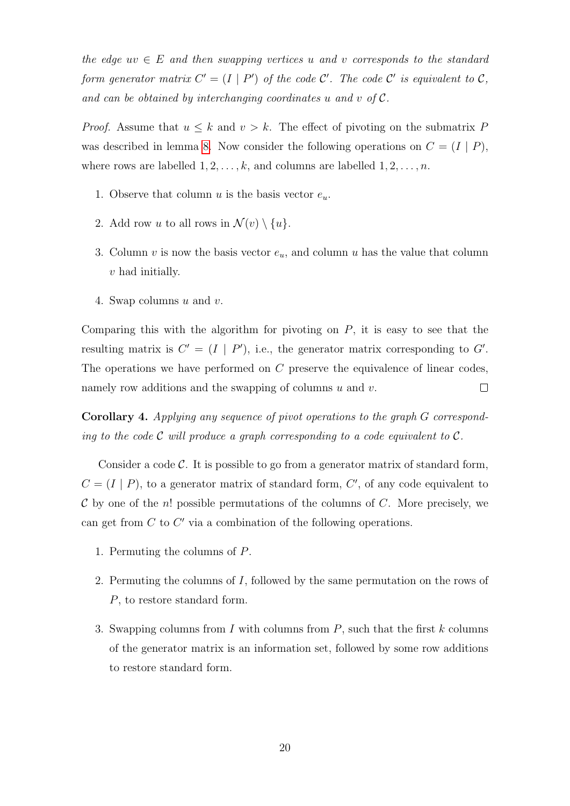the edge  $uv \in E$  and then swapping vertices u and v corresponds to the standard form generator matrix  $C' = (I | P')$  of the code C'. The code C' is equivalent to C, and can be obtained by interchanging coordinates u and v of C.

*Proof.* Assume that  $u \leq k$  and  $v > k$ . The effect of pivoting on the submatrix P was described in lemma [8.](#page-18-0) Now consider the following operations on  $C = (I | P)$ , where rows are labelled  $1, 2, \ldots, k$ , and columns are labelled  $1, 2, \ldots, n$ .

- 1. Observe that column u is the basis vector  $e_u$ .
- 2. Add row u to all rows in  $\mathcal{N}(v) \setminus \{u\}.$
- 3. Column v is now the basis vector  $e_u$ , and column u has the value that column v had initially.
- 4. Swap columns u and v.

Comparing this with the algorithm for pivoting on  $P$ , it is easy to see that the resulting matrix is  $C' = (I | P')$ , i.e., the generator matrix corresponding to G'. The operations we have performed on C preserve the equivalence of linear codes, namely row additions and the swapping of columns  $u$  and  $v$ .  $\Box$ 

Corollary 4. Applying any sequence of pivot operations to the graph G corresponding to the code  $\mathcal C$  will produce a graph corresponding to a code equivalent to  $\mathcal C$ .

Consider a code  $\mathcal{C}$ . It is possible to go from a generator matrix of standard form,  $C = (I | P)$ , to a generator matrix of standard form, C', of any code equivalent to  $\mathcal C$  by one of the n! possible permutations of the columns of  $C$ . More precisely, we can get from  $C$  to  $C'$  via a combination of the following operations.

- 1. Permuting the columns of P.
- 2. Permuting the columns of I, followed by the same permutation on the rows of P, to restore standard form.
- <span id="page-19-0"></span>3. Swapping columns from I with columns from  $P$ , such that the first k columns of the generator matrix is an information set, followed by some row additions to restore standard form.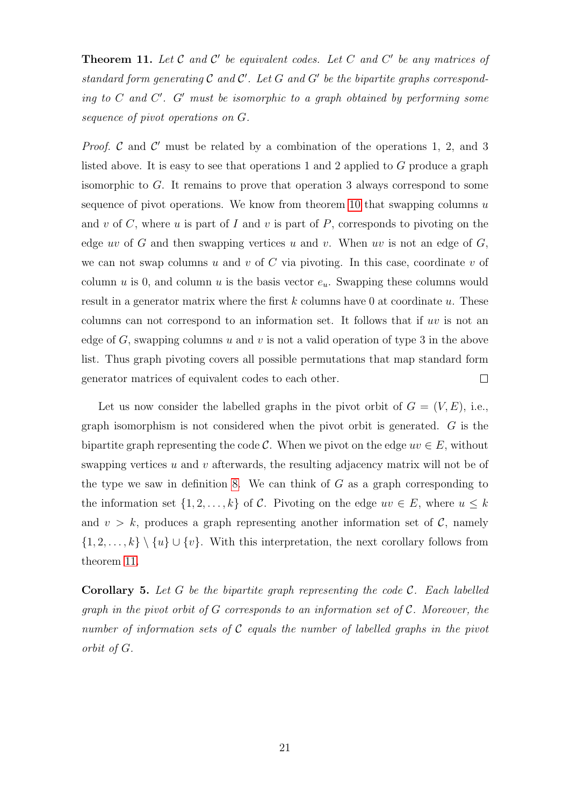**Theorem 11.** Let  $\mathcal C$  and  $\mathcal C'$  be equivalent codes. Let  $C$  and  $C'$  be any matrices of standard form generating  $\mathcal C$  and  $\mathcal C'$ . Let  $G$  and  $G'$  be the bipartite graphs corresponding to  $C$  and  $C'$ .  $G'$  must be isomorphic to a graph obtained by performing some sequence of pivot operations on G.

*Proof.*  $\mathcal C$  and  $\mathcal C'$  must be related by a combination of the operations 1, 2, and 3 listed above. It is easy to see that operations 1 and 2 applied to G produce a graph isomorphic to G. It remains to prove that operation 3 always correspond to some sequence of pivot operations. We know from theorem [10](#page-18-1) that swapping columns  $u$ and v of C, where u is part of I and v is part of P, corresponds to pivoting on the edge uv of G and then swapping vertices u and v. When uv is not an edge of  $G$ , we can not swap columns u and v of C via pivoting. In this case, coordinate v of column u is 0, and column u is the basis vector  $e_u$ . Swapping these columns would result in a generator matrix where the first  $k$  columns have 0 at coordinate  $u$ . These columns can not correspond to an information set. It follows that if  $uv$  is not an edge of  $G$ , swapping columns u and v is not a valid operation of type 3 in the above list. Thus graph pivoting covers all possible permutations that map standard form generator matrices of equivalent codes to each other.  $\Box$ 

Let us now consider the labelled graphs in the pivot orbit of  $G = (V, E)$ , i.e., graph isomorphism is not considered when the pivot orbit is generated. G is the bipartite graph representing the code C. When we pivot on the edge  $uv \in E$ , without swapping vertices  $u$  and  $v$  afterwards, the resulting adjacency matrix will not be of the type we saw in definition [8.](#page-17-0) We can think of  $G$  as a graph corresponding to the information set  $\{1, 2, \ldots, k\}$  of C. Pivoting on the edge  $uv \in E$ , where  $u \leq k$ and  $v > k$ , produces a graph representing another information set of  $\mathcal{C}$ , namely  $\{1, 2, \ldots, k\} \setminus \{u\} \cup \{v\}.$  With this interpretation, the next corollary follows from theorem [11.](#page-19-0)

**Corollary 5.** Let G be the bipartite graph representing the code  $C$ . Each labelled graph in the pivot orbit of G corresponds to an information set of  $\mathcal C$ . Moreover, the number of information sets of C equals the number of labelled graphs in the pivot orbit of G.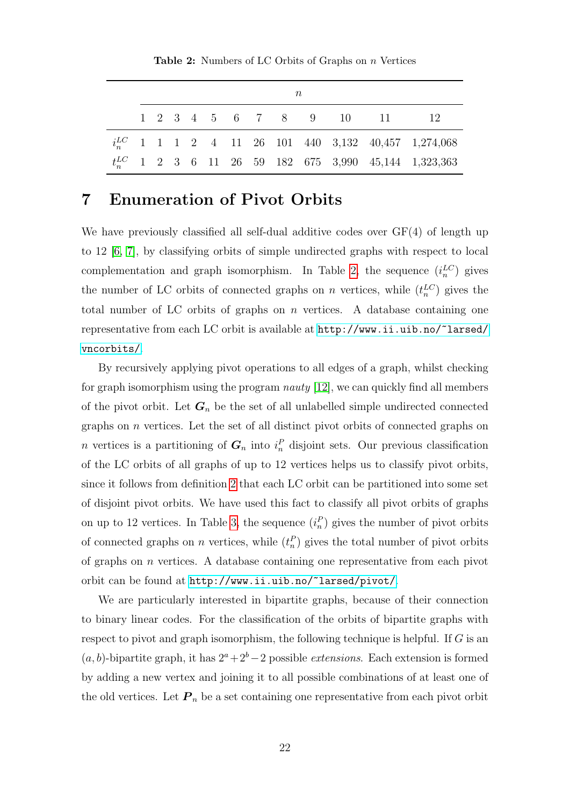<span id="page-21-0"></span>**Table 2:** Numbers of LC Orbits of Graphs on n Vertices

| n |  |  |  |  |  |  |  |                                                    |                                                            |
|---|--|--|--|--|--|--|--|----------------------------------------------------|------------------------------------------------------------|
|   |  |  |  |  |  |  |  | $1 \t2 \t3 \t4 \t5 \t6 \t7 \t8 \t9 \t10 \t11 \t12$ |                                                            |
|   |  |  |  |  |  |  |  |                                                    | $i_n^{LC}$ 1 1 1 2 4 11 26 101 440 3,132 40,457 1,274,068  |
|   |  |  |  |  |  |  |  |                                                    | $t_n^{LC}$ 1 2 3 6 11 26 59 182 675 3,990 45,144 1,323,363 |

## 7 Enumeration of Pivot Orbits

We have previously classified all self-dual additive codes over GF(4) of length up to 12 [\[6,](#page-25-12) [7\]](#page-25-11), by classifying orbits of simple undirected graphs with respect to local complementation and graph isomorphism. In Table [2,](#page-21-0) the sequence  $(i_n^{LC})$  gives the number of LC orbits of connected graphs on n vertices, while  $(t_n^{\text{LC}})$  gives the total number of LC orbits of graphs on  $n$  vertices. A database containing one representative from each LC orbit is available at [http://www.ii.uib.no/~larsed/](http://www.ii.uib.no/~larsed/vncorbits/) [vncorbits/](http://www.ii.uib.no/~larsed/vncorbits/).

By recursively applying pivot operations to all edges of a graph, whilst checking for graph isomorphism using the program *nauty* [\[12\]](#page-25-13), we can quickly find all members of the pivot orbit. Let  $G_n$  be the set of all unlabelled simple undirected connected graphs on  $n$  vertices. Let the set of all distinct pivot orbits of connected graphs on n vertices is a partitioning of  $G_n$  into  $i_n^P$  disjoint sets. Our previous classification of the LC orbits of all graphs of up to 12 vertices helps us to classify pivot orbits, since it follows from definition [2](#page-3-3) that each LC orbit can be partitioned into some set of disjoint pivot orbits. We have used this fact to classify all pivot orbits of graphs on up to 12 vertices. In Table [3,](#page-22-0) the sequence  $(i_n^P)$  gives the number of pivot orbits of connected graphs on *n* vertices, while  $(t_n^P)$  gives the total number of pivot orbits of graphs on n vertices. A database containing one representative from each pivot orbit can be found at <http://www.ii.uib.no/~larsed/pivot/>.

We are particularly interested in bipartite graphs, because of their connection to binary linear codes. For the classification of the orbits of bipartite graphs with respect to pivot and graph isomorphism, the following technique is helpful. If G is an  $(a, b)$ -bipartite graph, it has  $2^a + 2^b - 2$  possible *extensions*. Each extension is formed by adding a new vertex and joining it to all possible combinations of at least one of the old vertices. Let  $P_n$  be a set containing one representative from each pivot orbit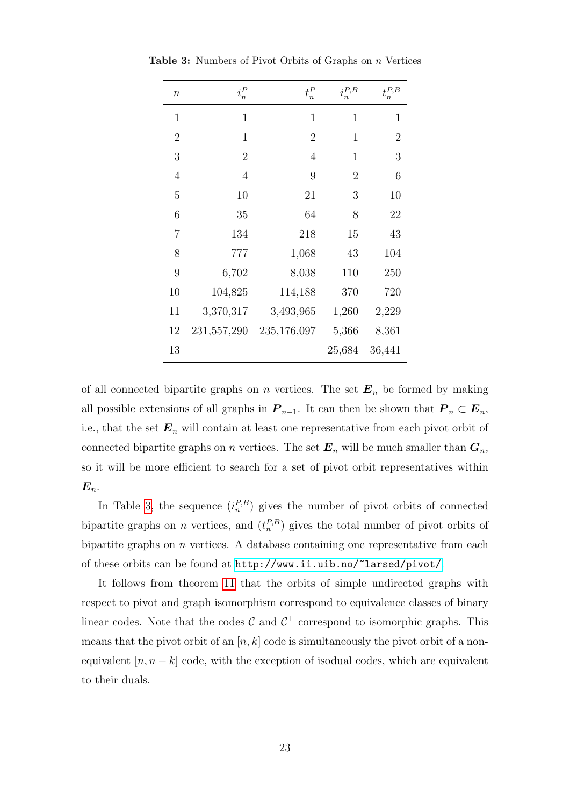| $\it{n}$       | $i_n^P$        | $t_n^P$        | $i_n^{P,B}$    | $t^{P,B}_n$    |
|----------------|----------------|----------------|----------------|----------------|
| $\mathbf{1}$   | $\mathbf{1}$   | $\mathbf{1}$   | $\mathbf{1}$   | $\mathbf 1$    |
| $\overline{2}$ | $\mathbf{1}$   | $\overline{2}$ | $\mathbf{1}$   | $\overline{2}$ |
| 3              | $\overline{2}$ | 4              | $\mathbf{1}$   | 3              |
| 4              | $\overline{4}$ | 9              | $\overline{2}$ | 6              |
| $\overline{5}$ | 10             | 21             | 3              | 10             |
| 6              | 35             | 64             | 8              | 22             |
| 7              | 134            | 218            | 15             | 43             |
| 8              | 777            | 1,068          | 43             | 104            |
| 9              | 6,702          | 8,038          | 110            | 250            |
| 10             | 104,825        | 114,188        | 370            | 720            |
| 11             | 3,370,317      | 3,493,965      | 1,260          | 2,229          |
| 12             | 231,557,290    | 235,176,097    | 5,366          | 8,361          |
| 13             |                |                | 25,684         | 36,441         |

<span id="page-22-0"></span>Table 3: Numbers of Pivot Orbits of Graphs on n Vertices

of all connected bipartite graphs on n vertices. The set  $E_n$  be formed by making all possible extensions of all graphs in  $P_{n-1}$ . It can then be shown that  $P_n \subset E_n$ , i.e., that the set  $\mathbf{E}_n$  will contain at least one representative from each pivot orbit of connected bipartite graphs on n vertices. The set  $E_n$  will be much smaller than  $G_n$ , so it will be more efficient to search for a set of pivot orbit representatives within  $E_n$ .

In Table [3,](#page-22-0) the sequence  $(i_n^{P,B})$  gives the number of pivot orbits of connected bipartite graphs on *n* vertices, and  $(t_n^{P,B})$  gives the total number of pivot orbits of bipartite graphs on  $n$  vertices. A database containing one representative from each of these orbits can be found at <http://www.ii.uib.no/~larsed/pivot/>.

It follows from theorem [11](#page-19-0) that the orbits of simple undirected graphs with respect to pivot and graph isomorphism correspond to equivalence classes of binary linear codes. Note that the codes  $\mathcal{C}$  and  $\mathcal{C}^{\perp}$  correspond to isomorphic graphs. This means that the pivot orbit of an  $[n, k]$  code is simultaneously the pivot orbit of a nonequivalent  $[n, n-k]$  code, with the exception of isodual codes, which are equivalent to their duals.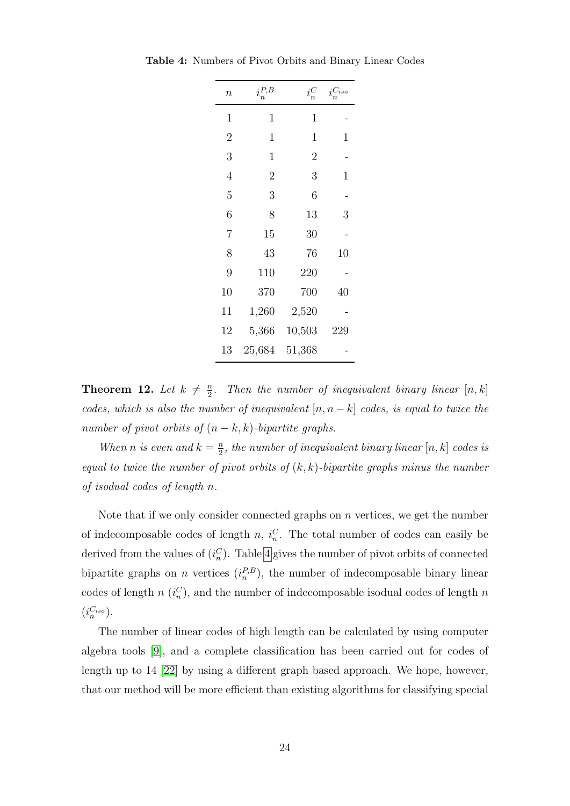<span id="page-23-0"></span>

| $\it n$        | $i_n^{P,B}$    | $i_n^C$        | $i_n^{C_{iso}}$ |
|----------------|----------------|----------------|-----------------|
| $\mathbf 1$    | $\mathbf 1$    | $\mathbf 1$    |                 |
| $\overline{2}$ | 1              | 1              | 1               |
| 3              | $\mathbf 1$    | $\overline{2}$ |                 |
| 4              | $\overline{2}$ | 3              | 1               |
| 5              | 3              | 6              |                 |
| 6              | 8              | 13             | 3               |
| 7              | 15             | 30             |                 |
| 8              | 43             | 76             | 10              |
| 9              | 110            | 220            |                 |
| 10             | 370            | 700            | 40              |
| 11             | 1,260          | 2,520          |                 |
| 12             | 5,366          | 10,503         | 229             |
| 13             | 25,684         | 51,368         |                 |

Table 4: Numbers of Pivot Orbits and Binary Linear Codes

Theorem 12. Let  $k \neq \frac{n}{2}$  $\frac{n}{2}$ . Then the number of inequivalent binary linear  $[n, k]$ codes, which is also the number of inequivalent  $[n, n-k]$  codes, is equal to twice the number of pivot orbits of  $(n - k, k)$ -bipartite graphs.

When *n* is even and  $k = \frac{n}{2}$  $\frac{n}{2}$ , the number of inequivalent binary linear  $[n,k]$  codes is equal to twice the number of pivot orbits of  $(k, k)$ -bipartite graphs minus the number of isodual codes of length n.

Note that if we only consider connected graphs on  $n$  vertices, we get the number of indecomposable codes of length n,  $i_n^C$ . The total number of codes can easily be derived from the values of  $(i_n^C)$ . Table [4](#page-23-0) gives the number of pivot orbits of connected bipartite graphs on *n* vertices  $(i_n^{P,B})$ , the number of indecomposable binary linear codes of length  $n(i_n^C)$ , and the number of indecomposable isodual codes of length n  $(i_n^{C_{iso}}).$ 

The number of linear codes of high length can be calculated by using computer algebra tools [\[9\]](#page-25-14), and a complete classification has been carried out for codes of length up to 14 [\[22\]](#page-26-1) by using a different graph based approach. We hope, however, that our method will be more efficient than existing algorithms for classifying special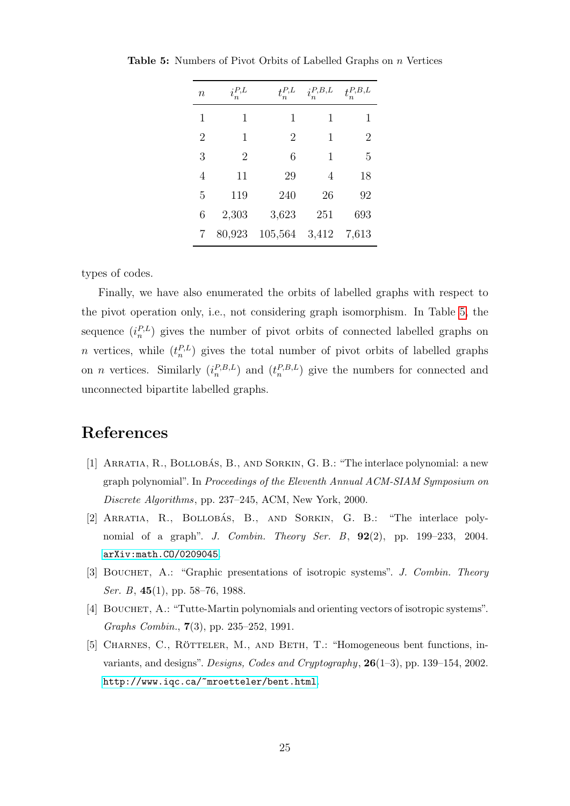<span id="page-24-5"></span>

| $\, n$         | $i_n^{P,L}$ | $t_n^{P,L}$    | $i_n^{P,B,L}$  | $t_n^{P,B,L}$ |
|----------------|-------------|----------------|----------------|---------------|
| 1              | 1           | 1              | 1              | 1             |
| $\overline{2}$ | 1           | $\overline{2}$ | 1              | 2             |
| 3              | 2           | 6              | 1              | 5             |
| 4              | 11          | 29             | $\overline{4}$ | 18            |
| 5              | 119         | 240            | 26             | 92            |
| 6              | 2,303       | 3,623          | 251            | 693           |
|                | 80,923      | 105,564        | 3,412          | 7,613         |

Table 5: Numbers of Pivot Orbits of Labelled Graphs on n Vertices

types of codes.

Finally, we have also enumerated the orbits of labelled graphs with respect to the pivot operation only, i.e., not considering graph isomorphism. In Table [5,](#page-24-5) the sequence  $(i_n^{P,L})$  gives the number of pivot orbits of connected labelled graphs on *n* vertices, while  $(t_n^{P,L})$  gives the total number of pivot orbits of labelled graphs on *n* vertices. Similarly  $(i_n^{P,B,L})$  and  $(t_n^{P,B,L})$  give the numbers for connected and unconnected bipartite labelled graphs.

## References

- <span id="page-24-0"></span>[1] ARRATIA, R., BOLLOBÁS, B., AND SORKIN, G. B.: "The interlace polynomial: a new graph polynomial". In Proceedings of the Eleventh Annual ACM-SIAM Symposium on Discrete Algorithms, pp. 237–245, ACM, New York, 2000.
- <span id="page-24-1"></span>[2] ARRATIA, R., BOLLOBÁS, B., AND SORKIN, G. B.: "The interlace polynomial of a graph". J. Combin. Theory Ser. B,  $92(2)$ , pp. 199–233, 2004. [arXiv:math.CO/0209045](http://arxiv.org/pdf/math.CO/0209045).
- <span id="page-24-3"></span>[3] BOUCHET, A.: "Graphic presentations of isotropic systems". J. Combin. Theory Ser. B, 45(1), pp. 58–76, 1988.
- <span id="page-24-2"></span>[4] BOUCHET, A.: "Tutte-Martin polynomials and orienting vectors of isotropic systems". Graphs Combin., 7(3), pp. 235–252, 1991.
- <span id="page-24-4"></span>[5] CHARNES, C., RÖTTELER, M., AND BETH, T.: "Homogeneous bent functions, invariants, and designs". Designs, Codes and Cryptography, 26(1–3), pp. 139–154, 2002. <http://www.iqc.ca/~mroetteler/bent.html>.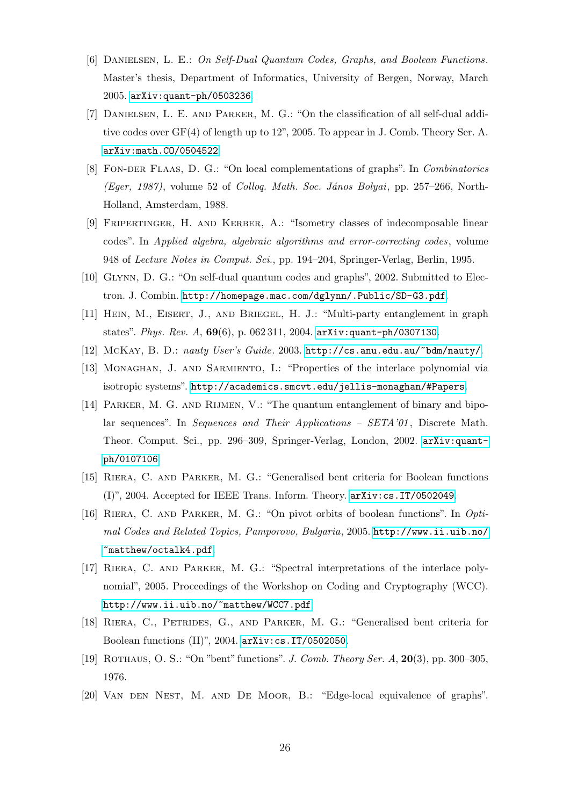- <span id="page-25-12"></span>[6] Danielsen, L. E.: On Self-Dual Quantum Codes, Graphs, and Boolean Functions. Master's thesis, Department of Informatics, University of Bergen, Norway, March 2005. [arXiv:quant-ph/0503236](http://arxiv.org/pdf/quant-ph/0503236).
- <span id="page-25-11"></span>[7] Danielsen, L. E. and Parker, M. G.: "On the classification of all self-dual additive codes over GF(4) of length up to 12", 2005. To appear in J. Comb. Theory Ser. A. [arXiv:math.CO/0504522](http://arxiv.org/pdf/math.CO/0504522).
- <span id="page-25-7"></span>[8] Fon-der Flaas, D. G.: "On local complementations of graphs". In Combinatorics (Eger, 1987), volume 52 of Colloq. Math. Soc. János Bolyai, pp. 257–266, North-Holland, Amsterdam, 1988.
- <span id="page-25-14"></span>[9] Fripertinger, H. and Kerber, A.: "Isometry classes of indecomposable linear codes". In Applied algebra, algebraic algorithms and error-correcting codes, volume 948 of Lecture Notes in Comput. Sci., pp. 194–204, Springer-Verlag, Berlin, 1995.
- <span id="page-25-8"></span>[10] Glynn, D. G.: "On self-dual quantum codes and graphs", 2002. Submitted to Electron. J. Combin. <http://homepage.mac.com/dglynn/.Public/SD-G3.pdf>.
- <span id="page-25-9"></span>[11] Hein, M., Eisert, J., and Briegel, H. J.: "Multi-party entanglement in graph states". Phys. Rev. A,  $69(6)$ , p. 062 311, 2004. [arXiv:quant-ph/0307130](http://arxiv.org/pdf/quant-ph/0307130).
- <span id="page-25-13"></span><span id="page-25-5"></span>[12] McKay, B. D.: nauty User's Guide. 2003. <http://cs.anu.edu.au/~bdm/nauty/>.
- [13] MONAGHAN, J. AND SARMIENTO, I.: "Properties of the interlace polynomial via isotropic systems". <http://academics.smcvt.edu/jellis-monaghan/#Papers>.
- <span id="page-25-10"></span>[14] Parker, M. G. and Rijmen, V.: "The quantum entanglement of binary and bipolar sequences". In Sequences and Their Applications – SETA'01, Discrete Math. Theor. Comput. Sci., pp. 296–309, Springer-Verlag, London, 2002. [arXiv:quant](http://arxiv.org/pdf/quant-ph/0107106)[ph/0107106](http://arxiv.org/pdf/quant-ph/0107106).
- <span id="page-25-2"></span>[15] Riera, C. and Parker, M. G.: "Generalised bent criteria for Boolean functions (I)", 2004. Accepted for IEEE Trans. Inform. Theory. [arXiv:cs.IT/0502049](http://arxiv.org/pdf/cs.IT/0502049).
- <span id="page-25-6"></span>[16] RIERA, C. AND PARKER, M. G.: "On pivot orbits of boolean functions". In Optimal Codes and Related Topics, Pamporovo, Bulgaria, 2005. [http://www.ii.uib.no/](http://www.ii.uib.no/~matthew/octalk4.pdf) [~matthew/octalk4.pdf](http://www.ii.uib.no/~matthew/octalk4.pdf).
- <span id="page-25-1"></span>[17] Riera, C. and Parker, M. G.: "Spectral interpretations of the interlace polynomial", 2005. Proceedings of the Workshop on Coding and Cryptography (WCC). <http://www.ii.uib.no/~matthew/WCC7.pdf>.
- <span id="page-25-4"></span>[18] Riera, C., Petrides, G., and Parker, M. G.: "Generalised bent criteria for Boolean functions (II)", 2004. [arXiv:cs.IT/0502050](http://arxiv.org/pdf/cs.IT/0502050).
- <span id="page-25-3"></span>[19] Rothaus, O. S.: "On "bent" functions". J. Comb. Theory Ser. A, 20(3), pp. 300–305, 1976.
- <span id="page-25-0"></span>[20] Van den Nest, M. and De Moor, B.: "Edge-local equivalence of graphs".